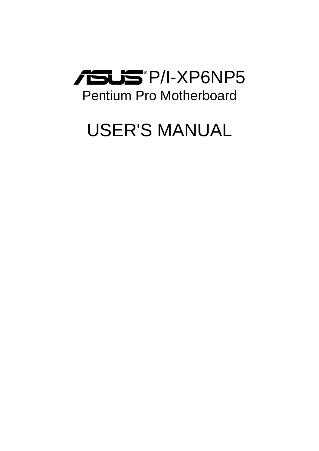

# USER'S MANUAL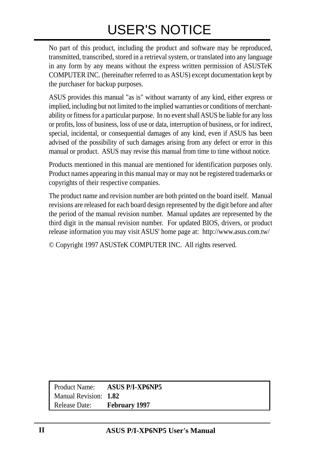# USER'S NOTICE

No part of this product, including the product and software may be reproduced, transmitted, transcribed, stored in a retrieval system, or translated into any language in any form by any means without the express written permission of ASUSTeK COMPUTER INC. (hereinafter referred to as ASUS) except documentation kept by the purchaser for backup purposes.

ASUS provides this manual "as is" without warranty of any kind, either express or implied, including but not limited to the implied warranties or conditions of merchantability or fitness for a particular purpose. In no event shall ASUS be liable for any loss or profits, loss of business, loss of use or data, interruption of business, or for indirect, special, incidental, or consequential damages of any kind, even if ASUS has been advised of the possibility of such damages arising from any defect or error in this manual or product. ASUS may revise this manual from time to time without notice.

Products mentioned in this manual are mentioned for identification purposes only. Product names appearing in this manual may or may not be registered trademarks or copyrights of their respective companies.

The product name and revision number are both printed on the board itself. Manual revisions are released for each board design represented by the digit before and after the period of the manual revision number. Manual updates are represented by the third digit in the manual revision number. For updated BIOS, drivers, or product release information you may visit ASUS' home page at: http://www.asus.com.tw/

© Copyright 1997 ASUSTeK COMPUTER INC. All rights reserved.

Product Name: **ASUS P/I-XP6NP5** Manual Revision: **1.82** Release Date: **February 1997**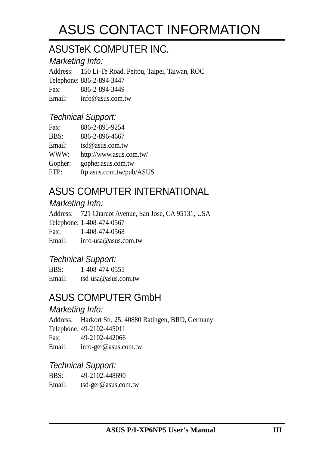# ASUS CONTACT INFORMATION

## ASUSTeK COMPUTER INC.

### Marketing Info:

Address: 150 Li-Te Road, Peitou, Taipei, Taiwan, ROC Telephone: 886-2-894-3447 Fax: 886-2-894-3449

Email: info@asus.com.tw

### Technical Support:

| Fax:    | 886-2-895-9254           |
|---------|--------------------------|
| BBS:    | 886-2-896-4667           |
| Email:  | tsd@asus.com.tw          |
| WWW:    | http://www.asus.com.tw/  |
| Gopher: | gopher.asus.com.tw       |
| FTP:    | ftp.asus.com.tw/pub/ASUS |

## ASUS COMPUTER INTERNATIONAL

### Marketing Info:

Address: 721 Charcot Avenue, San Jose, CA 95131, USA Telephone: 1-408-474-0567 Fax: 1-408-474-0568 Email: info-usa@asus.com.tw

### Technical Support:

BBS: 1-408-474-0555 Email: tsd-usa@asus.com.tw

## ASUS COMPUTER GmbH

### Marketing Info:

Address: Harkort Str. 25, 40880 Ratingen, BRD, Germany Telephone: 49-2102-445011 Fax: 49-2102-442066

Email: info-ger@asus.com.tw

### Technical Support:

| BBS:   | 49-2102-448690      |
|--------|---------------------|
| Email: | tsd-ger@asus.com.tw |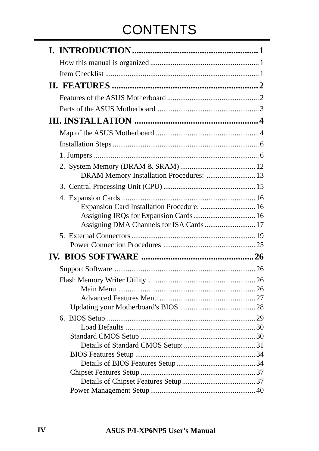# **CONTENTS**

| DRAM Memory Installation Procedures:  13   |  |
|--------------------------------------------|--|
|                                            |  |
|                                            |  |
| Expansion Card Installation Procedure:  16 |  |
| Assigning IRQs for Expansion Cards 16      |  |
| Assigning DMA Channels for ISA Cards  17   |  |
|                                            |  |
|                                            |  |
|                                            |  |
|                                            |  |
|                                            |  |
|                                            |  |
|                                            |  |
|                                            |  |
|                                            |  |
|                                            |  |
|                                            |  |
|                                            |  |
|                                            |  |
|                                            |  |
|                                            |  |
|                                            |  |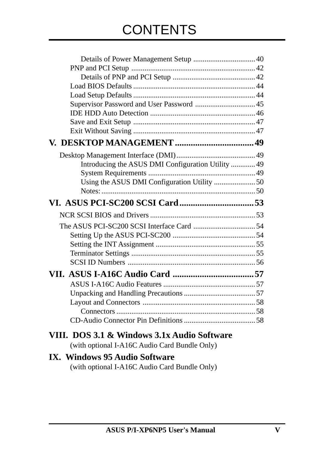| Supervisor Password and User Password  45          |  |
|----------------------------------------------------|--|
|                                                    |  |
|                                                    |  |
|                                                    |  |
|                                                    |  |
|                                                    |  |
| Introducing the ASUS DMI Configuration Utility  49 |  |
|                                                    |  |
|                                                    |  |
|                                                    |  |
|                                                    |  |
|                                                    |  |
|                                                    |  |
|                                                    |  |
|                                                    |  |
|                                                    |  |
|                                                    |  |
|                                                    |  |
|                                                    |  |
|                                                    |  |
|                                                    |  |
|                                                    |  |
|                                                    |  |
|                                                    |  |
| VIII. DOS 3.1 & Windows 3.1x Audio Software        |  |
| (with optional I-A16C Audio Card Bundle Only)      |  |
| IX. Windows 95 Audio Software                      |  |
|                                                    |  |

(with optional I-A16C Audio Card Bundle Only)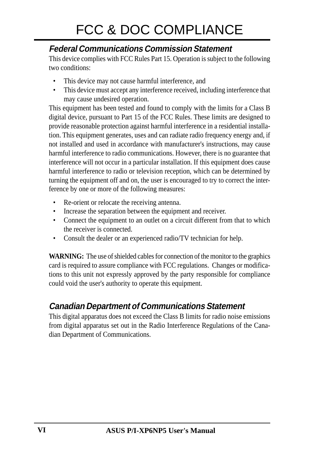### **Federal Communications Commission Statement**

This device complies with FCC Rules Part 15. Operation is subject to the following two conditions:

- This device may not cause harmful interference, and
- This device must accept any interference received, including interference that may cause undesired operation.

This equipment has been tested and found to comply with the limits for a Class B digital device, pursuant to Part 15 of the FCC Rules. These limits are designed to provide reasonable protection against harmful interference in a residential installation. This equipment generates, uses and can radiate radio frequency energy and, if not installed and used in accordance with manufacturer's instructions, may cause harmful interference to radio communications. However, there is no guarantee that interference will not occur in a particular installation. If this equipment does cause harmful interference to radio or television reception, which can be determined by turning the equipment off and on, the user is encouraged to try to correct the interference by one or more of the following measures:

- Re-orient or relocate the receiving antenna.
- Increase the separation between the equipment and receiver.
- Connect the equipment to an outlet on a circuit different from that to which the receiver is connected.
- Consult the dealer or an experienced radio/TV technician for help.

**WARNING:** The use of shielded cables for connection of the monitor to the graphics card is required to assure compliance with FCC regulations. Changes or modifications to this unit not expressly approved by the party responsible for compliance could void the user's authority to operate this equipment.

### **Canadian Department of Communications Statement**

This digital apparatus does not exceed the Class B limits for radio noise emissions from digital apparatus set out in the Radio Interference Regulations of the Canadian Department of Communications.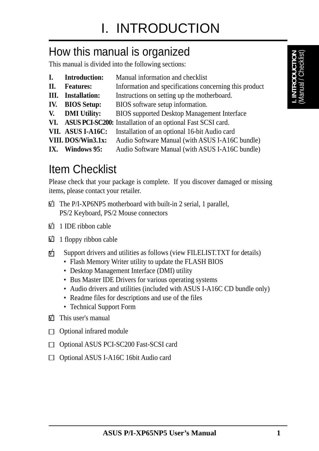# How this manual is organized

This manual is divided into the following sections:

- **I. Introduction:** Manual information and checklist
- **II. Features:** Information and specifications concerning this product
- **III.** Installation: Instructions on setting up the motherboard.
- **IV. BIOS Setup:** BIOS software setup information.
- **V. DMI Utility:** BIOS supported Desktop Management Interface
- **VI. ASUS PCI-SC200:** Installation of an optional Fast SCSI card.
- **VII. ASUS I-A16C:** Installation of an optional 16-bit Audio card
- **VIII. DOS/Win3.1x:** Audio Software Manual (with ASUS I-A16C bundle)
- **IX. Windows 95:** Audio Software Manual (with ASUS I-A16C bundle)

# Item Checklist

Please check that your package is complete. If you discover damaged or missing items, please contact your retailer.

- √ The P/I-XP6NP5 motherboard with built-in 2 serial, 1 parallel, PS/2 Keyboard, PS/2 Mouse connectors
- $\nabla$  1 IDE ribbon cable
- $\Box$  1 floppy ribbon cable
- $\overrightarrow{v}$  Support drivers and utilities as follows (view FILELIST.TXT for details)
	- Flash Memory Writer utility to update the FLASH BIOS
	- Desktop Management Interface (DMI) utility
	- Bus Master IDE Drivers for various operating systems
	- Audio drivers and utilities (included with ASUS I-A16C CD bundle only)
	- Readme files for descriptions and use of the files
	- Technical Support Form
- $\overline{M}$  This user's manual
- $\Box$  Optional infrared module
- □ Optional ASUS PCI-SC200 Fast-SCSI card
- □ Optional ASUS I-A16C 16bit Audio card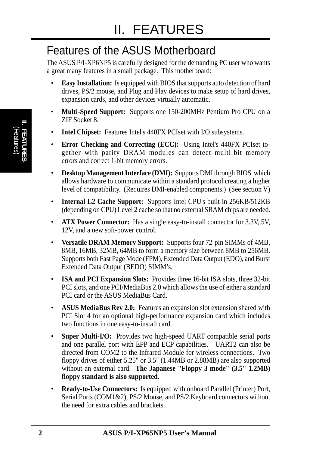# Features of the ASUS Motherboard

The ASUS P/I-XP6NP5 is carefully designed for the demanding PC user who wants a great many features in a small package. This motherboard:

- **Easy Installation:** Is equipped with BIOS that supports auto detection of hard drives, PS/2 mouse, and Plug and Play devices to make setup of hard drives, expansion cards, and other devices virtually automatic.
- **Multi-Speed Support:** Supports one 150-200MHz Pentium Pro CPU on a ZIF Socket 8.
- **Intel Chipset:** Features Intel's 440FX PCIset with I/O subsystems.
- **Error Checking and Correcting (ECC):** Using Intel's 440FX PCIset together with parity DRAM modules can detect multi-bit memory errors and correct 1-bit memory errors.
- **Desktop Management Interface (DMI):** Supports DMI through BIOS which allows hardware to communicate within a standard protocol creating a higher level of compatibility. (Requires DMI-enabled components.) (See section V)
- **Internal L2 Cache Support:** Supports Intel CPU's built-in 256KB/512KB (depending on CPU) Level 2 cache so that no external SRAM chips are needed.
- **ATX Power Connector:** Has a single easy-to-install connector for 3.3V, 5V, 12V, and a new soft-power control.
- **Versatile DRAM Memory Support:** Supports four 72-pin SIMMs of 4MB, 8MB, 16MB, 32MB, 64MB to form a memory size between 8MB to 256MB. Supports both Fast Page Mode (FPM), Extended Data Output (EDO), and Burst Extended Data Output (BEDO) SIMM's.
- **ISA and PCI Expansion Slots:** Provides three 16-bit ISA slots, three 32-bit PCI slots, and one PCI/MediaBus 2.0 which allows the use of either a standard PCI card or the ASUS MediaBus Card.
- **ASUS MediaBus Rev 2.0:** Features an expansion slot extension shared with PCI Slot 4 for an optional high-performance expansion card which includes two functions in one easy-to-install card.
- **Super Multi-I/O:** Provides two high-speed UART compatible serial ports and one parallel port with EPP and ECP capabilities. UART2 can also be directed from COM2 to the Infrared Module for wireless connections. Two floppy drives of either 5.25" or 3.5" (1.44MB or 2.88MB) are also supported without an external card. **The Japanese "Floppy 3 mode" (3.5" 1.2MB) floppy standard is also supported.**
- **Ready-to-Use Connectors:** Is equipped with onboard Parallel (Printer) Port, Serial Ports (COM1&2), PS/2 Mouse, and PS/2 Keyboard connectors without the need for extra cables and brackets.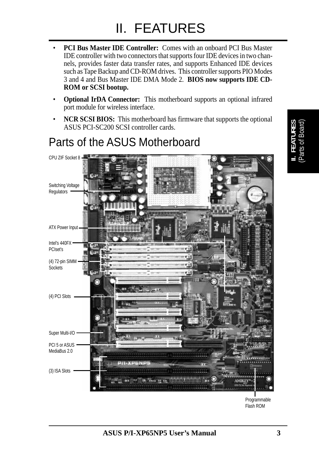- **PCI Bus Master IDE Controller:** Comes with an onboard PCI Bus Master IDE controller with two connectors that supports four IDE devices in two channels, provides faster data transfer rates, and supports Enhanced IDE devices such as Tape Backup and CD-ROM drives. This controller supports PIO Modes 3 and 4 and Bus Master IDE DMA Mode 2. **BIOS now supports IDE CD-ROM or SCSI bootup.**
- **Optional IrDA Connector:** This motherboard supports an optional infrared port module for wireless interface.
- **NCR SCSI BIOS:** This motherboard has firmware that supports the optional ASUS PCI-SC200 SCSI controller cards.

# Parts of the ASUS Motherboard



Programmable Flash ROM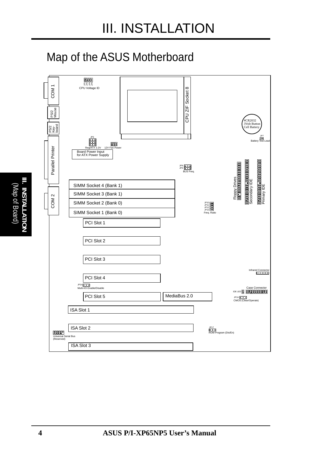# Map of the ASUS Motherboard



**III. INSTALLATION** II. INSTALLATION<br>(Map of Board) (Map of Board)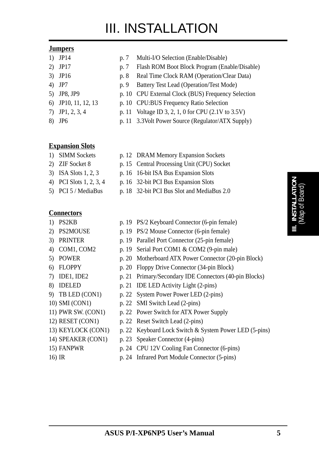# III. INSTALLATION

#### **Jumpers**

- 
- 
- 
- 
- 
- 
- 

#### **Expansion Slots**

- 
- 
- 
- 
- 

#### **Connectors**

- 
- 
- 
- 
- 
- 
- 
- 
- 
- 
- 
- 
- 
- 
- 
- 
- 1) JP14 p. 7 Multi-I/O Selection (Enable/Disable)
- 2) JP17 p. 7 Flash ROM Boot Block Program (Enable/Disable)
- 3) JP16 p. 8 Real Time Clock RAM (Operation/Clear Data)
- 4) JP7 p. 9 Battery Test Lead (Operation/Test Mode)
- 5) JP8, JP9 p. 10 CPU External Clock (BUS) Frequency Selection
- 6) JP10, 11, 12, 13 p. 10 CPU:BUS Frequency Ratio Selection
- 7) JP1, 2, 3, 4 p. 11 Voltage ID 3, 2, 1, 0 for CPU (2.1V to 3.5V)
- 8) JP6 p. 11 3.3Volt Power Source (Regulator/ATX Supply)
- 1) SIMM Sockets p. 12 DRAM Memory Expansion Sockets
- 2) ZIF Socket 8 p. 15 Central Processing Unit (CPU) Socket
- 3) ISA Slots  $1, 2, 3$  p. 16 16-bit ISA Bus Expansion Slots
- 4) PCI Slots  $1, 2, 3, 4$  p. 16 32-bit PCI Bus Expansion Slots
- 5) PCI 5 / MediaBus p. 18 32-bit PCI Bus Slot and MediaBus 2.0
- 1) PS2KB p. 19 PS/2 Keyboard Connector (6-pin female)
- 2) PS2MOUSE p. 19 PS/2 Mouse Connector (6-pin female)
- 3) PRINTER p. 19 Parallel Port Connector (25-pin female)
- 4) COM1, COM2 p. 19 Serial Port COM1 & COM2 (9-pin male)
- 5) POWER p. 20 Motherboard ATX Power Connector (20-pin Block)
- 6) FLOPPY p. 20 Floppy Drive Connector (34-pin Block)
- 7) IDE1, IDE2 p. 21 Primary/Secondary IDE Connectors (40-pin Blocks)
- 8) IDELED p. 21 IDE LED Activity Light (2-pins)
- 9) TB LED (CON1) p. 22 System Power Power LED (2-pins)
- 10) SMI (CON1) p. 22 SMI Switch Lead (2-pins)
- 11) PWR SW. (CON1) p. 22 Power Switch for ATX Power Supply
- 12) RESET (CON1) p. 22 Reset Switch Lead (2-pins)
- 13) KEYLOCK (CON1) p. 22 Keyboard Lock Switch & System Power LED (5-pins)
- 14) SPEAKER (CON1) p. 23 Speaker Connector (4-pins)
- 15) FANPWR p. 24 CPU 12V Cooling Fan Connector (6-pins)
- 16) IR p. 24 Infrared Port Module Connector (5-pins)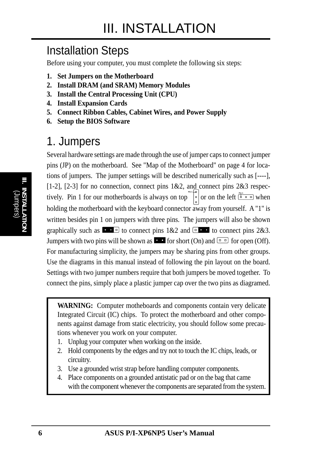# Installation Steps

Before using your computer, you must complete the following six steps:

- **1. Set Jumpers on the Motherboard**
- **2. Install DRAM (and SRAM) Memory Modules**
- **3. Install the Central Processing Unit (CPU)**
- **4. Install Expansion Cards**
- **5. Connect Ribbon Cables, Cabinet Wires, and Power Supply**
- **6. Setup the BIOS Software**

# 1. Jumpers

Several hardware settings are made through the use of jumper caps to connect jumper pins (JP) on the motherboard. See "Map of the Motherboard" on page 4 for locations of jumpers. The jumper settings will be described numerically such as [----], [1-2], [2-3] for no connection, connect pins  $1&2$ , and connect pins  $2&3$  respectively. Pin 1 for our motherboards is always on top  $\int_{0}^{\frac{p_{0}+1}{p}}$  or on the left  $\frac{p_{0}+1}{p}$  when holding the motherboard with the keyboard connector away from yourself. A "1" is written besides pin 1 on jumpers with three pins. The jumpers will also be shown graphically such as  $\blacksquare$  to connect pins  $1\&2$  and  $\blacksquare$  to connect pins  $2\&3$ . Jumpers with two pins will be shown as **For** for short (On) and  $\boxed{\blacksquare}$  for open (Off). For manufacturing simplicity, the jumpers may be sharing pins from other groups. Use the diagrams in this manual instead of following the pin layout on the board. Settings with two jumper numbers require that both jumpers be moved together. To connect the pins, simply place a plastic jumper cap over the two pins as diagramed.

**WARNING:** Computer motheboards and components contain very delicate Integrated Circuit (IC) chips. To protect the motherboard and other components against damage from static electricity, you should follow some precautions whenever you work on your computer.

- 1. Unplug your computer when working on the inside.
- 2. Hold components by the edges and try not to touch the IC chips, leads, or circuitry.
- 3. Use a grounded wrist strap before handling computer components.
- 4. Place components on a grounded antistatic pad or on the bag that came with the component whenever the components are separated from the system.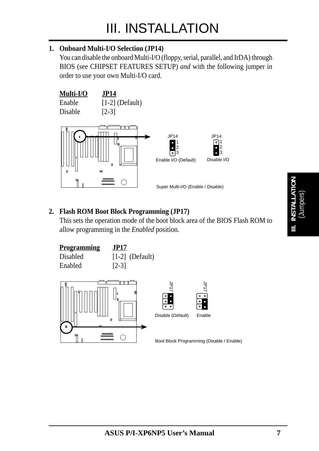#### **1. Onboard Multi-I/O Selection (JP14)**

You can disable the onboard Multi-I/O (floppy, serial, parallel, and IrDA) through BIOS (see CHIPSET FEATURES SETUP) *and* with the following jumper in order to use your own Multi-I/O card.



#### **2. Flash ROM Boot Block Programming (JP17)**

This sets the operation mode of the boot block area of the BIOS Flash ROM to allow programming in the *Enabled* position.

| <u>Programming</u> | <b>JP17</b> |
|--------------------|-------------|
| Disabled           | $[1-2]$     |
| Enabled            | $[2-3]$     |

(Default)

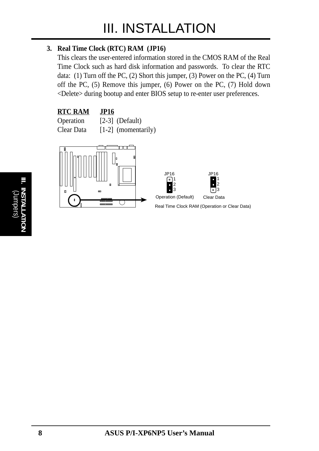#### **3. Real Time Clock (RTC) RAM (JP16)**

This clears the user-entered information stored in the CMOS RAM of the Real Time Clock such as hard disk information and passwords. To clear the RTC data: (1) Turn off the PC, (2) Short this jumper, (3) Power on the PC, (4) Turn off the PC, (5) Remove this jumper, (6) Power on the PC, (7) Hold down <Delete> during bootup and enter BIOS setup to re-enter user preferences.

#### **RTC RAM JP16**

| Operation  | $[2-3]$ (Default)     |
|------------|-----------------------|
| Clear Data | $[1-2]$ (momentarily) |

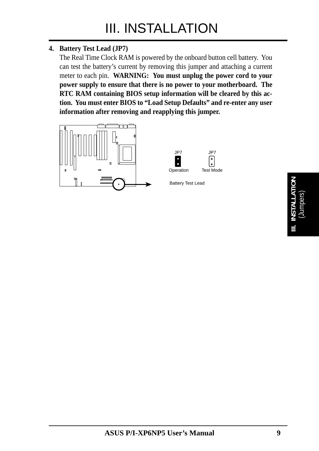#### **4. Battery Test Lead (JP7)**

The Real Time Clock RAM is powered by the onboard button cell battery. You can test the battery's current by removing this jumper and attaching a current meter to each pin. **WARNING: You must unplug the power cord to your power supply to ensure that there is no power to your motherboard. The RTC RAM containing BIOS setup information will be cleared by this action. You must enter BIOS to "Load Setup Defaults" and re-enter any user information after removing and reapplying this jumper.**

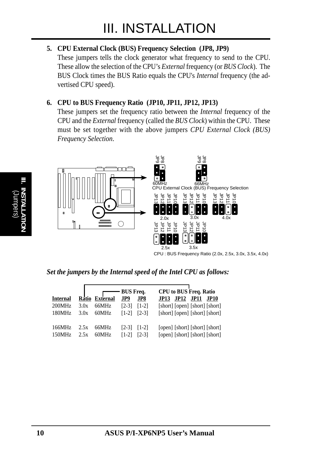#### **5. CPU External Clock (BUS) Frequency Selection (JP8, JP9)**

These jumpers tells the clock generator what frequency to send to the CPU. These allow the selection of the CPU's *External* frequency (or *BUS Clock*). The BUS Clock times the BUS Ratio equals the CPU's *Internal* frequency (the advertised CPU speed).

#### **6. CPU to BUS Frequency Ratio (JP10, JP11, JP12, JP13)**

These jumpers set the frequency ratio between the *Internal* frequency of the CPU and the *External* frequency (called the *BUS Clock*) within the CPU. These must be set together with the above jumpers *CPU External Clock (BUS) Frequency Selection*.



*Set the jumpers by the Internal speed of the Intel CPU as follows:*

| <b>Internal</b><br>200MHz<br>180MHz | 3.0x<br>3.0x | Ratio External<br>66MHz<br>60MHz | <b>BUS Freq.</b><br>JP9<br>$[2-3]$<br>$\begin{bmatrix} 1-2 \\ 2-3 \end{bmatrix}$ | JP8<br>$[1-2]$ | JPI3 | <b>JP12</b> | <b>CPU</b> to BUS Freq. Ratio<br><b>JP11</b><br>[short] [open] [short] [short]<br>[short] [open] [short] [short] | <b>JP10</b> |
|-------------------------------------|--------------|----------------------------------|----------------------------------------------------------------------------------|----------------|------|-------------|------------------------------------------------------------------------------------------------------------------|-------------|
| 166MHz<br>150MHz                    | 2.5x<br>2.5x | 66MHz<br>60MHz                   | $[2-3]$ $[1-2]$<br>$[1-2]$                                                       | $[2-3]$        |      |             | [open] [short] [short] [short]<br>[open] [short] [short] [short]                                                 |             |

(Jumpers) **III. INSTALLATION**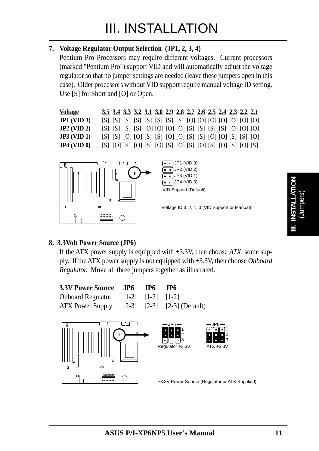#### **7. Voltage Regulator Output Selection (JP1, 2, 3, 4)**

Pentium Pro Processors may require different voltages. Current processors (marked "Pentium Pro") support VID and will automatically adjust the voltage regulator so that no jumper settings are needed (leave these jumpers open in this case). Older processors without VID support require manual voltage ID setting. Use [S] for Short and [O] or Open.

| <b>Voltage</b> |  | 3.5 3.4 3.3 3.2 3.1 3.0 2.9 2.8 2.7 2.6 2.5 2.4 2.3 2.2 2.1                 |  |  |  |  |  |  |
|----------------|--|-----------------------------------------------------------------------------|--|--|--|--|--|--|
| $JPI$ (VID 3)  |  | [S] [S] [S] [S] [S] [S] [S] [S] [S] [O] [O] [O] [O] [O] [O] [O]             |  |  |  |  |  |  |
| $JP2$ (VID 2)  |  | [S] [S] [S] [S] [O] [O] [O] [O] [S] [S] [S] [S] [O] [O] [O]                 |  |  |  |  |  |  |
| JP3 (VID 1)    |  | [S] [S] [O] [O] [S] [S] [O] [O] [S] [S] [O] [O] [O] [S] [S] [O]             |  |  |  |  |  |  |
| JP4 (VID 0)    |  | $[S]$ [O] $[S]$ [O] $[S]$ [O] $[S]$ [O] $[S]$ [O] $[S]$ [O] $[S]$ [O] $[S]$ |  |  |  |  |  |  |



#### **8. 3.3Volt Power Source (JP6)**

If the ATX power supply is equipped with +3.3V, then choose *ATX,* some supply. If the ATX power supply is not equipped with +3.3V, then choose *Onboard Regulator.* Move all three jumpers together as illustrated.

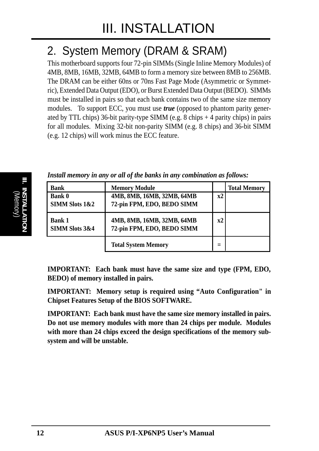# 2. System Memory (DRAM & SRAM)

This motherboard supports four 72-pin SIMMs (Single Inline Memory Modules) of 4MB, 8MB, 16MB, 32MB, 64MB to form a memory size between 8MB to 256MB. The DRAM can be either 60ns or 70ns Fast Page Mode (Asymmetric or Symmetric), Extended Data Output (EDO), or Burst Extended Data Output (BEDO). SIMMs must be installed in pairs so that each bank contains two of the same size memory modules. To support ECC, you must use *true* (opposed to phantom parity generated by TTL chips) 36-bit parity-type SIMM (e.g. 8 chips + 4 parity chips) in pairs for all modules. Mixing 32-bit non-parity SIMM (e.g. 8 chips) and 36-bit SIMM (e.g. 12 chips) will work minus the ECC feature.

| <b>Bank</b>               | <b>Memory Module</b>       |    | <b>Total Memory</b> |
|---------------------------|----------------------------|----|---------------------|
| <b>Bank 0</b>             | 4MB, 8MB, 16MB, 32MB, 64MB | x2 |                     |
| <b>SIMM Slots 1&amp;2</b> | 72-pin FPM, EDO, BEDO SIMM |    |                     |
| <b>Bank 1</b>             | 4MB, 8MB, 16MB, 32MB, 64MB | x2 |                     |
| <b>SIMM Slots 3&amp;4</b> | 72-pin FPM, EDO, BEDO SIMM |    |                     |
|                           | <b>Total System Memory</b> |    |                     |

*Install memory in any or all of the banks in any combination as follows:*

**IMPORTANT: Each bank must have the same size and type (FPM, EDO, BEDO) of memory installed in pairs.**

**IMPORTANT: Memory setup is required using "Auto Configuration" in Chipset Features Setup of the BIOS SOFTWARE.**

**IMPORTANT: Each bank must have the same size memory installed in pairs. Do not use memory modules with more than 24 chips per module. Modules** with more than 24 chips exceed the design specifications of the memory sub**system and will be unstable.**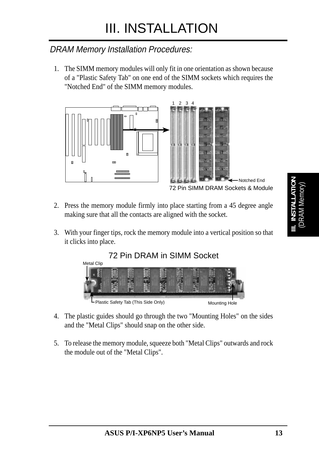### DRAM Memory Installation Procedures:

1. The SIMM memory modules will only fit in one orientation as shown because of a "Plastic Safety Tab" on one end of the SIMM sockets which requires the "Notched End" of the SIMM memory modules.



72 Pin SIMM DRAM Sockets & Module

- 2. Press the memory module firmly into place starting from a 45 degree angle making sure that all the contacts are aligned with the socket.
- 3. With your finger tips, rock the memory module into a vertical position so that it clicks into place.



- 4. The plastic guides should go through the two "Mounting Holes" on the sides and the "Metal Clips" should snap on the other side.
- 5. To release the memory module, squeeze both "Metal Clips" outwards and rock the module out of the "Metal Clips".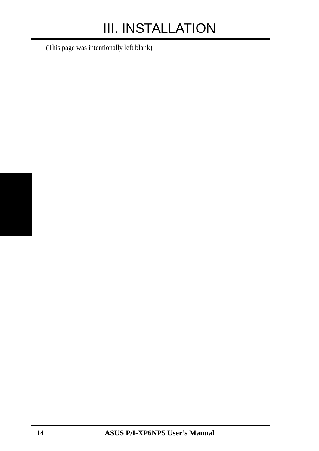# III. INSTALLATION

(This page was intentionally left blank)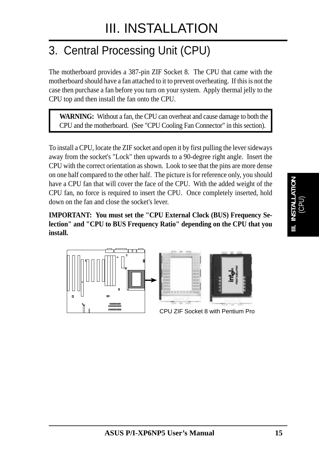# 3. Central Processing Unit (CPU)

The motherboard provides a 387-pin ZIF Socket 8. The CPU that came with the motherboard should have a fan attached to it to prevent overheating. If this is not the case then purchase a fan before you turn on your system. Apply thermal jelly to the CPU top and then install the fan onto the CPU.

**WARNING:** Without a fan, the CPU can overheat and cause damage to both the CPU and the motherboard. (See "CPU Cooling Fan Connector" in this section).

To install a CPU, locate the ZIF socket and open it by first pulling the lever sideways away from the socket's "Lock" then upwards to a 90-degree right angle. Insert the CPU with the correct orientation as shown. Look to see that the pins are more dense on one half compared to the other half. The picture is for reference only, you should have a CPU fan that will cover the face of the CPU. With the added weight of the CPU fan, no force is required to insert the CPU. Once completely inserted, hold down on the fan and close the socket's lever.

**IMPORTANT: You must set the "CPU External Clock (BUS) Frequency Selection" and "CPU to BUS Frequency Ratio" depending on the CPU that you install.**



CPU ZIF Socket 8 with Pentium Pro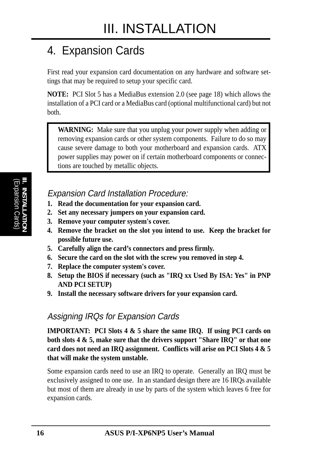# 4. Expansion Cards

First read your expansion card documentation on any hardware and software settings that may be required to setup your specific card.

**NOTE:** PCI Slot 5 has a MediaBus extension 2.0 (see page 18) which allows the installation of a PCI card or a MediaBus card (optional multifunctional card) but not both.

**WARNING:** Make sure that you unplug your power supply when adding or removing expansion cards or other system components. Failure to do so may cause severe damage to both your motherboard and expansion cards. ATX power supplies may power on if certain motherboard components or connections are touched by metallic objects.

### Expansion Card Installation Procedure:

- **1. Read the documentation for your expansion card.**
- **2. Set any necessary jumpers on your expansion card.**
- **3. Remove your computer system's cover.**
- **4. Remove the bracket on the slot you intend to use. Keep the bracket for possible future use.**
- **5. Carefully align the card's connectors and press firmly.**
- **6. Secure the card on the slot with the screw you removed in step 4.**
- **7. Replace the computer system's cover.**
- **8. Setup the BIOS if necessary (such as "IRQ xx Used By ISA: Yes" in PNP AND PCI SETUP)**
- **9. Install the necessary software drivers for your expansion card.**

### Assigning IRQs for Expansion Cards

**IMPORTANT: PCI Slots 4 & 5 share the same IRQ. If using PCI cards on both slots 4 & 5, make sure that the drivers support "Share IRQ" or that one card does not need an IRQ assignment. Conflicts will arise on PCI Slots 4 & 5 that will make the system unstable.**

Some expansion cards need to use an IRQ to operate. Generally an IRQ must be exclusively assigned to one use. In an standard design there are 16 IRQs available but most of them are already in use by parts of the system which leaves 6 free for expansion cards.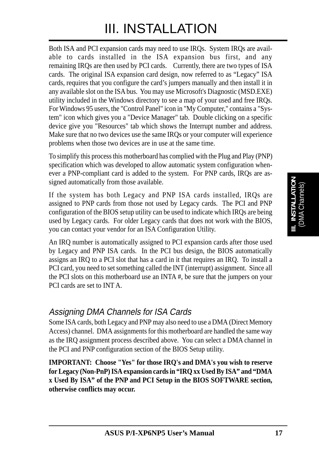# III. INSTALLATION

Both ISA and PCI expansion cards may need to use IRQs. System IRQs are available to cards installed in the ISA expansion bus first, and any remaining IRQs are then used by PCI cards. Currently, there are two types of ISA cards. The original ISA expansion card design, now referred to as "Legacy" ISA cards, requires that you configure the card's jumpers manually and then install it in any available slot on the ISA bus. You may use Microsoft's Diagnostic (MSD.EXE) utility included in the Windows directory to see a map of your used and free IRQs. For Windows 95 users, the "Control Panel" icon in "My Computer," contains a "System" icon which gives you a "Device Manager" tab. Double clicking on a specific device give you "Resources" tab which shows the Interrupt number and address. Make sure that no two devices use the same IRQs or your computer will experience problems when those two devices are in use at the same time.

To simplify this process this motherboard has complied with the Plug and Play (PNP) specification which was developed to allow automatic system configuration whenever a PNP-compliant card is added to the system. For PNP cards, IRQs are assigned automatically from those available.

If the system has both Legacy and PNP ISA cards installed, IRQs are assigned to PNP cards from those not used by Legacy cards. The PCI and PNP configuration of the BIOS setup utility can be used to indicate which IRQs are being used by Legacy cards. For older Legacy cards that does not work with the BIOS, you can contact your vendor for an ISA Configuration Utility.

An IRQ number is automatically assigned to PCI expansion cards after those used by Legacy and PNP ISA cards. In the PCI bus design, the BIOS automatically assigns an IRQ to a PCI slot that has a card in it that requires an IRQ. To install a PCI card, you need to set something called the INT (interrupt) assignment. Since all the PCI slots on this motherboard use an INTA #, be sure that the jumpers on your PCI cards are set to INT A.

### Assigning DMA Channels for ISA Cards

Some ISA cards, both Legacy and PNP may also need to use a DMA (Direct Memory Access) channel. DMA assignments for this motherboard are handled the same way as the IRQ assignment process described above. You can select a DMA channel in the PCI and PNP configuration section of the BIOS Setup utility.

**IMPORTANT: Choose "Yes" for those IRQ's and DMA's you wish to reserve for Legacy (Non-PnP) ISA expansion cards in "IRQ xx Used By ISA" and "DMA x Used By ISA" of the PNP and PCI Setup in the BIOS SOFTWARE section, otherwise conflicts may occur.**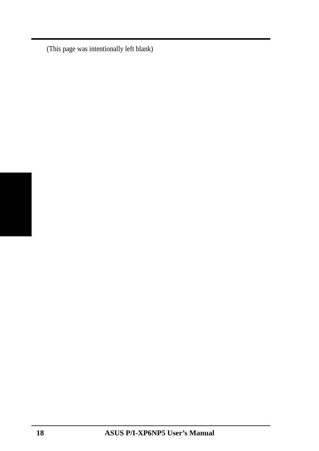(This page was intentionally left blank)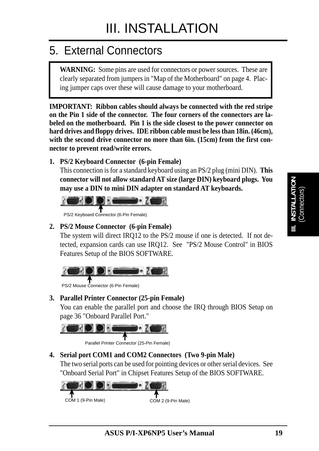# 5. External Connectors

**WARNING:** Some pins are used for connectors or power sources. These are clearly separated from jumpers in "Map of the Motherboard" on page 4. Placing jumper caps over these will cause damage to your motherboard.

**IMPORTANT: Ribbon cables should always be connected with the red stripe on the Pin 1 side of the connector. The four corners of the connectors are labeled on the motherboard. Pin 1 is the side closest to the power connector on hard drives and floppy drives. IDE ribbon cable must be less than 18in. (46cm),** with the second drive connector no more than 6in. (15cm) from the first con**nector to prevent read/write errors.**

**1. PS/2 Keyboard Connector (6-pin Female)**

This connection is for a standard keyboard using an PS/2 plug (mini DIN). **This connector will not allow standard AT size (large DIN) keyboard plugs. You may use a DIN to mini DIN adapter on standard AT keyboards.**



PS/2 Keyboard Connector (6-Pin Female)

#### **2. PS/2 Mouse Connector (6-pin Female)**

The system will direct IRQ12 to the PS/2 mouse if one is detected. If not detected, expansion cards can use IRQ12. See "PS/2 Mouse Control" in BIOS Features Setup of the BIOS SOFTWARE.



PS/2 Mouse Connector (6-Pin Female)

#### **3. Parallel Printer Connector (25-pin Female)**

You can enable the parallel port and choose the IRQ through BIOS Setup on page 36 "Onboard Parallel Port."



Parallel Printer Connector (25-Pin Female)

#### **4. Serial port COM1 and COM2 Connectors (Two 9-pin Male)**

The two serial ports can be used for pointing devices or other serial devices. See "Onboard Serial Port" in Chipset Features Setup of the BIOS SOFTWARE.

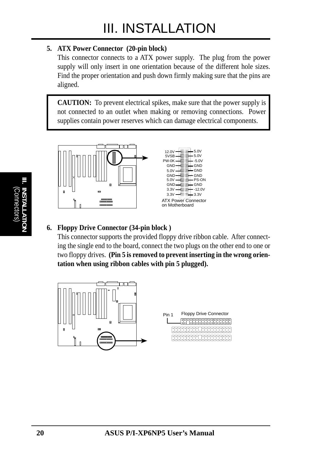#### **5. ATX Power Connector (20-pin block)**

This connector connects to a ATX power supply. The plug from the power supply will only insert in one orientation because of the different hole sizes. Find the proper orientation and push down firmly making sure that the pins are aligned.

**CAUTION:** To prevent electrical spikes, make sure that the power supply is not connected to an outlet when making or removing connections. Power supplies contain power reserves which can damage electrical components.



#### **6. Floppy Drive Connector (34-pin block )**

This connector supports the provided floppy drive ribbon cable. After connecting the single end to the board, connect the two plugs on the other end to one or two floppy drives. **(Pin 5 is removed to prevent inserting in the wrong orientation when using ribbon cables with pin 5 plugged).**



(Connectors) **III. INSTALLATION**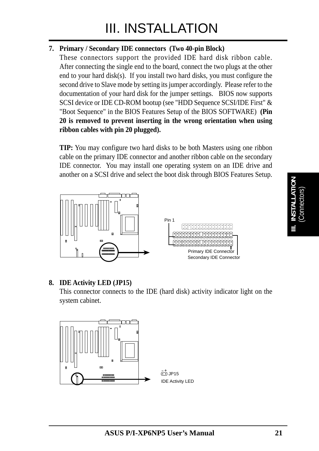#### **7. Primary / Secondary IDE connectors (Two 40-pin Block)**

These connectors support the provided IDE hard disk ribbon cable. After connecting the single end to the board, connect the two plugs at the other end to your hard disk(s). If you install two hard disks, you must configure the second drive to Slave mode by setting its jumper accordingly. Please refer to the documentation of your hard disk for the jumper settings. BIOS now supports SCSI device or IDE CD-ROM bootup (see "HDD Sequence SCSI/IDE First" & "Boot Sequence" in the BIOS Features Setup of the BIOS SOFTWARE) **(Pin 20 is removed to prevent inserting in the wrong orientation when using ribbon cables with pin 20 plugged).**

**TIP:** You may configure two hard disks to be both Masters using one ribbon cable on the primary IDE connector and another ribbon cable on the secondary IDE connector. You may install one operating system on an IDE drive and another on a SCSI drive and select the boot disk through BIOS Features Setup.



#### **8. IDE Activity LED (JP15)**

This connector connects to the IDE (hard disk) activity indicator light on the system cabinet.

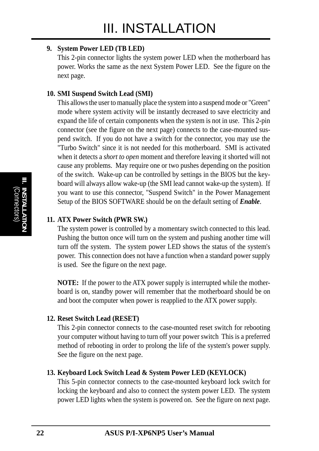#### **9. System Power LED (TB LED)**

This 2-pin connector lights the system power LED when the motherboard has power. Works the same as the next System Power LED. See the figure on the next page.

#### **10. SMI Suspend Switch Lead (SMI)**

This allows the user to manually place the system into a suspend mode or "Green" mode where system activity will be instantly decreased to save electricity and expand the life of certain components when the system is not in use. This 2-pin connector (see the figure on the next page) connects to the case-mounted suspend switch. If you do not have a switch for the connector, you may use the "Turbo Switch" since it is not needed for this motherboard. SMI is activated when it detects a *short to open* moment and therefore leaving it shorted will not cause any problems. May require one or two pushes depending on the position of the switch. Wake-up can be controlled by settings in the BIOS but the keyboard will always allow wake-up (the SMI lead cannot wake-up the system). If you want to use this connector, "Suspend Switch" in the Power Management Setup of the BIOS SOFTWARE should be on the default setting of *Enable*.

#### **11. ATX Power Switch (PWR SW.)**

The system power is controlled by a momentary switch connected to this lead. Pushing the button once will turn on the system and pushing another time will turn off the system. The system power LED shows the status of the system's power. This connection does not have a function when a standard power supply is used. See the figure on the next page.

**NOTE:** If the power to the ATX power supply is interrupted while the motherboard is on, standby power will remember that the motherboard should be on and boot the computer when power is reapplied to the ATX power supply.

#### **12. Reset Switch Lead (RESET)**

This 2-pin connector connects to the case-mounted reset switch for rebooting your computer without having to turn off your power switch This is a preferred method of rebooting in order to prolong the life of the system's power supply. See the figure on the next page.

#### **13. Keyboard Lock Switch Lead & System Power LED (KEYLOCK)**

This 5-pin connector connects to the case-mounted keyboard lock switch for locking the keyboard and also to connect the system power LED. The system power LED lights when the system is powered on. See the figure on next page.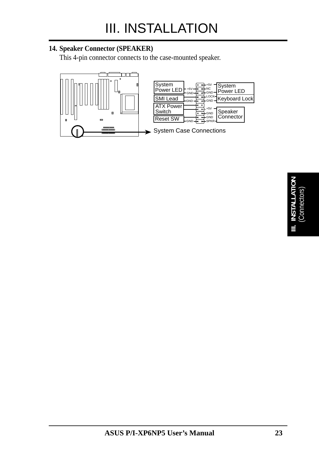### **14. Speaker Connector (SPEAKER)**

This 4-pin connector connects to the case-mounted speaker.



| System<br>Power LED        | ⊦5\<br>-NC<br>$+5V$<br>GND<br>GND | System<br>Power LED |
|----------------------------|-----------------------------------|---------------------|
| <b>SMI Lead</b>            | LOCK-<br>GND<br>GND               | Keyboard Lock       |
| <b>ATX Power</b><br>Switch | $+5$<br>GND                       | Speaker             |
| <b>Reset SW</b>            | GND<br>SPKR                       | Connector           |
|                            |                                   |                     |

System Case Connections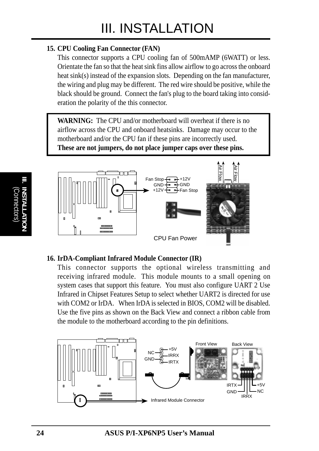#### **15. CPU Cooling Fan Connector (FAN)**

This connector supports a CPU cooling fan of 500mAMP (6WATT) or less. Orientate the fan so that the heat sink fins allow airflow to go across the onboard heat sink(s) instead of the expansion slots. Depending on the fan manufacturer, the wiring and plug may be different. The red wire should be positive, while the black should be ground. Connect the fan's plug to the board taking into consideration the polarity of the this connector.

**WARNING:** The CPU and/or motherboard will overheat if there is no airflow across the CPU and onboard heatsinks. Damage may occur to the motherboard and/or the CPU fan if these pins are incorrectly used. **These are not jumpers, do not place jumper caps over these pins.**



#### **16. IrDA-Compliant Infrared Module Connector (IR)**

This connector supports the optional wireless transmitting and receiving infrared module. This module mounts to a small opening on system cases that support this feature. You must also configure UART 2 Use Infrared in Chipset Features Setup to select whether UART2 is directed for use with COM2 or IrDA. When IrDA is selected in BIOS, COM2 will be disabled. Use the five pins as shown on the Back View and connect a ribbon cable from the module to the motherboard according to the pin definitions.

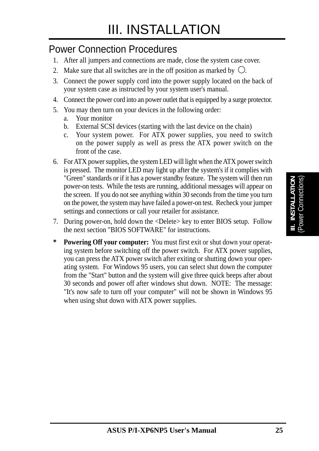### Power Connection Procedures

- 1. After all jumpers and connections are made, close the system case cover.
- 2. Make sure that all switches are in the off position as marked by  $\bigcirc$ .
- 3. Connect the power supply cord into the power supply located on the back of your system case as instructed by your system user's manual.
- 4. Connect the power cord into an power outlet that is equipped by a surge protector.
- 5. You may then turn on your devices in the following order:
	- a. Your monitor
	- b. External SCSI devices (starting with the last device on the chain)
	- c. Your system power. For ATX power supplies, you need to switch on the power supply as well as press the ATX power switch on the front of the case.
- 6. For ATX power supplies, the system LED will light when the ATX power switch is pressed. The monitor LED may light up after the system's if it complies with "Green" standards or if it has a power standby feature. The system will then run power-on tests. While the tests are running, additional messages will appear on the screen. If you do not see anything within 30 seconds from the time you turn on the power, the system may have failed a power-on test. Recheck your jumper settings and connections or call your retailer for assistance.
- 7. During power-on, hold down the <Delete> key to enter BIOS setup. Follow the next section "BIOS SOFTWARE" for instructions.
- **\* Powering Off your computer:** You must first exit or shut down your operating system before switching off the power switch. For ATX power supplies, you can press the ATX power switch after exiting or shutting down your operating system. For Windows 95 users, you can select shut down the computer from the "Start" button and the system will give three quick beeps after about 30 seconds and power off after windows shut down. NOTE: The message: "It's now safe to turn off your computer" will not be shown in Windows 95 when using shut down with ATX power supplies.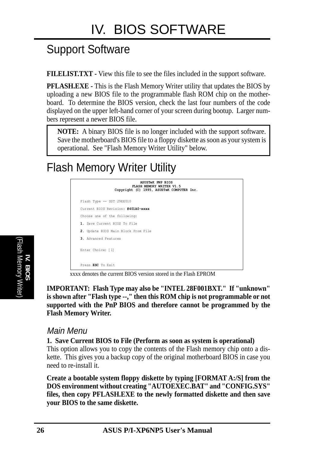# IV. BIOS SOFTWARE

# Support Software

**FILELIST.TXT -** View this file to see the files included in the support software.

**PFLASH.EXE -** This is the Flash Memory Writer utility that updates the BIOS by uploading a new BIOS file to the programmable flash ROM chip on the motherboard. To determine the BIOS version, check the last four numbers of the code displayed on the upper left-hand corner of your screen during bootup. Larger numbers represent a newer BIOS file.

**NOTE:** A binary BIOS file is no longer included with the support software. Save the motherboard's BIOS file to a floppy diskette as soon as your system is operational. See "Flash Memory Writer Utility" below.

# Flash Memory Writer Utility

| <b>ASUSTeK PNP BIOS</b><br>FLASH MEMORY WRITER V1.5<br>Copyright (C) 1995, ASUSTeK COMPUTER Inc. |
|--------------------------------------------------------------------------------------------------|
| Flash Type -- SST 29EE010                                                                        |
| Current BIOS Revision: #401A0-xxxx                                                               |
| Choose one of the following:                                                                     |
| 1. Save Current BIOS To File                                                                     |
| 2. Update BIOS Main Block From File                                                              |
| 3. Advanced Features                                                                             |
| Enter Choice: [1]                                                                                |
| Press ESC To Exit                                                                                |

xxxx denotes the current BIOS version stored in the Flash EPROM

**IMPORTANT: Flash Type may also be "INTEL 28F001BXT." If "unknown" is shown after "Flash type --," then this ROM chip is not programmable or not supported with the PnP BIOS and therefore cannot be programmed by the Flash Memory Writer.**

#### Main Menu

**1. Save Current BIOS to File (Perform as soon as system is operational)**

This option allows you to copy the contents of the Flash memory chip onto a diskette. This gives you a backup copy of the original motherboard BIOS in case you need to re-install it.

**Create a bootable system floppy diskette by typing [FORMAT A:/S] from the DOS environment without creating "AUTOEXEC.BAT" and "CONFIG.SYS" files, then copy PFLASH.EXE to the newly formatted diskette and then save your BIOS to the same diskette.**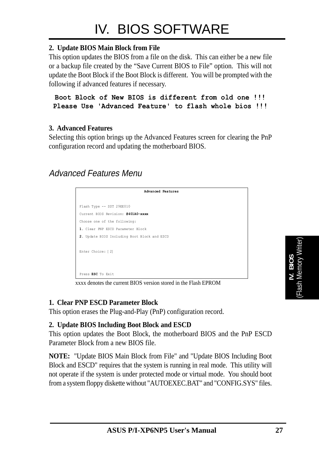#### **2. Update BIOS Main Block from File**

This option updates the BIOS from a file on the disk. This can either be a new file or a backup file created by the "Save Current BIOS to File" option. This will not update the Boot Block if the Boot Block is different. You will be prompted with the following if advanced features if necessary.

```
Boot Block of New BIOS is different from old one !!!
Please Use 'Advanced Feature' to flash whole bios !!!
```
#### **3. Advanced Features**

Selecting this option brings up the Advanced Features screen for clearing the PnP configuration record and updating the motherboard BIOS.

### Advanced Features Menu

| Advanced Features                            |
|----------------------------------------------|
|                                              |
| Flash Type -- SST 29EE010                    |
| Current BIOS Revision: #401A0-xxxx           |
| Choose one of the following:                 |
| 1. Clear PNP ESCD Parameter Block            |
| 2. Update BIOS Including Boot Block and ESCD |
|                                              |
| Enter Choice: [2]                            |
|                                              |
|                                              |
| Press ESC To Exit                            |

xxxx denotes the current BIOS version stored in the Flash EPROM

#### **1. Clear PNP ESCD Parameter Block**

This option erases the Plug-and-Play (PnP) configuration record.

#### **2. Update BIOS Including Boot Block and ESCD**

This option updates the Boot Block, the motherboard BIOS and the PnP ESCD Parameter Block from a new BIOS file.

**NOTE:** "Update BIOS Main Block from File" and "Update BIOS Including Boot Block and ESCD" requires that the system is running in real mode. This utility will not operate if the system is under protected mode or virtual mode. You should boot from a system floppy diskette without "AUTOEXEC.BAT" and "CONFIG.SYS" files.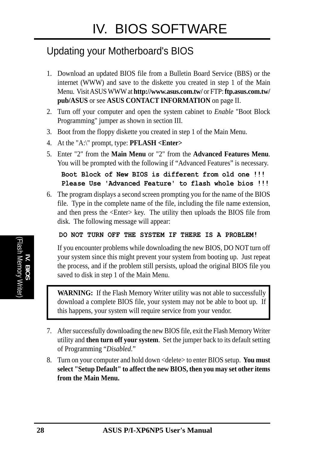## Updating your Motherboard's BIOS

- 1. Download an updated BIOS file from a Bulletin Board Service (BBS) or the internet (WWW) and save to the diskette you created in step 1 of the Main Menu. Visit ASUS WWW at **http://www.asus.com.tw/** or FTP: **ftp.asus.com.tw/ pub/ASUS** or see **ASUS CONTACT INFORMATION** on page II.
- 2. Turn off your computer and open the system cabinet to *Enable* "Boot Block Programming" jumper as shown in section III.
- 3. Boot from the floppy diskette you created in step 1 of the Main Menu.
- 4. At the "A:\" prompt, type: **PFLASH <Enter>**
- 5. Enter "2" from the **Main Menu** or "2" from the **Advanced Features Menu**. You will be prompted with the following if "Advanced Features" is necessary.

#### **Boot Block of New BIOS is different from old one !!! Please Use 'Advanced Feature' to flash whole bios !!!**

6. The program displays a second screen prompting you for the name of the BIOS file. Type in the complete name of the file, including the file name extension, and then press the <Enter> key. The utility then uploads the BIOS file from disk. The following message will appear:

#### **DO NOT TURN OFF THE SYSTEM IF THERE IS A PROBLEM!**

If you encounter problems while downloading the new BIOS, DO NOT turn off your system since this might prevent your system from booting up. Just repeat the process, and if the problem still persists, upload the original BIOS file you saved to disk in step 1 of the Main Menu.

**WARNING:** If the Flash Memory Writer utility was not able to successfully download a complete BIOS file, your system may not be able to boot up. If this happens, your system will require service from your vendor.

- 7. After successfully downloading the new BIOS file, exit the Flash Memory Writer utility and **then turn off your system**. Set the jumper back to its default setting of Programming "*Disabled*."
- 8. Turn on your computer and hold down <delete> to enter BIOS setup. **You must select "Setup Default" to affect the new BIOS, then you may set other items from the Main Menu.**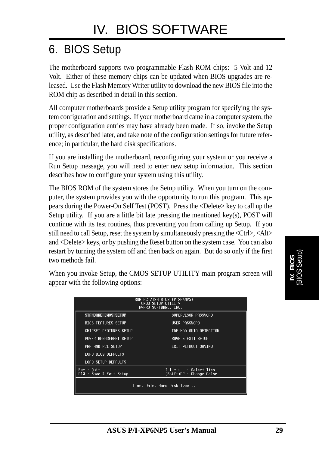# 6. BIOS Setup

appear with the following options:

The motherboard supports two programmable Flash ROM chips: 5 Volt and 12 Volt. Either of these memory chips can be updated when BIOS upgrades are released. Use the Flash Memory Writer utility to download the new BIOS file into the ROM chip as described in detail in this section.

All computer motherboards provide a Setup utility program for specifying the system configuration and settings. If your motherboard came in a computer system, the proper configuration entries may have already been made. If so, invoke the Setup utility, as described later, and take note of the configuration settings for future reference; in particular, the hard disk specifications.

If you are installing the motherboard, reconfiguring your system or you receive a Run Setup message, you will need to enter new setup information. This section describes how to configure your system using this utility.

The BIOS ROM of the system stores the Setup utility. When you turn on the computer, the system provides you with the opportunity to run this program. This appears during the Power-On Self Test (POST). Press the <Delete> key to call up the Setup utility. If you are a little bit late pressing the mentioned key(s), POST will continue with its test routines, thus preventing you from calling up Setup. If you still need to call Setup, reset the system by simultaneously pressing the  $\langle \text{Ctrl} \rangle$ ,  $\langle \text{Alt} \rangle$ and <Delete> keys, or by pushing the Reset button on the system case. You can also restart by turning the system off and then back on again. But do so only if the first two methods fail.

When you invoke Setup, the CMOS SETUP UTILITY main program screen will

M PCI/ISA BIOS<br>CMOS SETUP UTIL<br>AWARD SOFTWARE, IOS (PIXP6NP5)<br>UTILITY<br>RE, INC. STANDARD CMOS SETUP SUPERVISOR PASSWORD **BIOS FEATURES SETUP** USER PASSWORD CHIPSET FEATURES SETUP IDE HDD AUTO DETECTION POWER MANAGEMENT SETUP SAVE & EXIT SETUP PNP AND PCI SETUP EXIT WITHOUT SAVING LOAD BIOS DEFAULTS LOAD SETUP DEFAULTS ↑↓ → ← : Select Item<br>(Shift)F2 : Change Color Esc : Quit<br>F10 : Save & Exit Setup Time, Date, Hard Disk Type...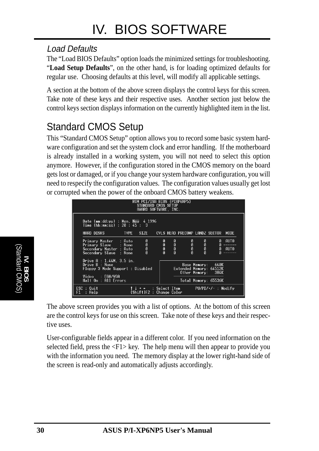### Load Defaults

The "Load BIOS Defaults" option loads the minimized settings for troubleshooting. "**Load Setup Defaults**", on the other hand, is for loading optimized defaults for regular use. Choosing defaults at this level, will modify all applicable settings.

A section at the bottom of the above screen displays the control keys for this screen. Take note of these keys and their respective uses. Another section just below the control keys section displays information on the currently highlighted item in the list.

## Standard CMOS Setup

This "Standard CMOS Setup" option allows you to record some basic system hardware configuration and set the system clock and error handling. If the motherboard is already installed in a working system, you will not need to select this option anymore. However, if the configuration stored in the CMOS memory on the board gets lost or damaged, or if you change your system hardware configuration, you will need to respecify the configuration values. The configuration values usually get lost or corrupted when the power of the onboard CMOS battery weakens.

| STANDARD CMOS SETUP                                                                                           | ROM PCI/ISA BIOS (PIXP6NP5)<br>AWARD SOFTWARE. INC.                                                                                       |
|---------------------------------------------------------------------------------------------------------------|-------------------------------------------------------------------------------------------------------------------------------------------|
| Date $(mn:dd:yy)$ : Mon, Nov 4 1996<br>Time (hh:mm:ss) : 20 : 45 : -3                                         |                                                                                                                                           |
| HARD DISKS<br>TYPE SIZE                                                                                       | CYLS HEAD PRECOMP LANDZ SECTOR<br><b>MODE</b>                                                                                             |
| Primary Master<br>: Auto<br>0000<br>Primary Slave : None<br>Secondary Master : Auto<br>Secondary Slave : None | - AUTO<br>0<br>Ø<br>Ø<br>Ø<br>0<br>0<br>$0 \qquad 0$<br>ด<br>ด<br>ด<br>Ø<br>Ō<br>Ø<br>$\frac{0}{0}$<br>$\frac{0}{0}$<br>Ø.<br>- AUTO<br>Й |
| Drive $A : 1.44M, 3.5$ in.<br>Drive B : None<br>Floppy 3 Mode Support : Disabled                              | Base Memory: 640K<br>Extended Memory: 64512K<br>Other Memorv:<br>384K                                                                     |
| Video : EGA/VGA<br>Halt On : All Errors                                                                       | Total Memory: 65536K                                                                                                                      |
| $ESC : 0$ uit<br>(Shift)F2 : Change Color<br>F1<br>Help<br>ř.                                                 | ↑↓ → ← : Select Item →<br>$PU/PD/*/-$ : Modify                                                                                            |

The above screen provides you with a list of options. At the bottom of this screen are the control keys for use on this screen. Take note of these keys and their respective uses.

User-configurable fields appear in a different color. If you need information on the selected field, press the <F1> key. The help menu will then appear to provide you with the information you need. The memory display at the lower right-hand side of the screen is read-only and automatically adjusts accordingly.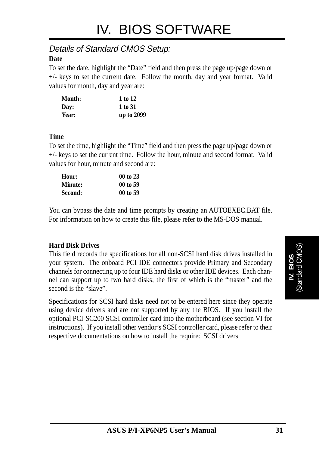### Details of Standard CMOS Setup:

#### **Date**

To set the date, highlight the "Date" field and then press the page up/page down or +/- keys to set the current date. Follow the month, day and year format. Valid values for month, day and year are:

| Month: | 1 to 12    |
|--------|------------|
| Day:   | 1 to 31    |
| Year:  | up to 2099 |

#### **Time**

To set the time, highlight the "Time" field and then press the page up/page down or +/- keys to set the current time. Follow the hour, minute and second format. Valid values for hour, minute and second are:

| Hour:          | $00$ to 23 |
|----------------|------------|
| <b>Minute:</b> | 00 to 59   |
| Second:        | 00 to 59   |

You can bypass the date and time prompts by creating an AUTOEXEC.BAT file. For information on how to create this file, please refer to the MS-DOS manual.

#### **Hard Disk Drives**

This field records the specifications for all non-SCSI hard disk drives installed in your system. The onboard PCI IDE connectors provide Primary and Secondary channels for connecting up to four IDE hard disks or other IDE devices. Each channel can support up to two hard disks; the first of which is the "master" and the second is the "slave".

Specifications for SCSI hard disks need not to be entered here since they operate using device drivers and are not supported by any the BIOS. If you install the optional PCI-SC200 SCSI controller card into the motherboard (see section VI for instructions). If you install other vendor's SCSI controller card, please refer to their respective documentations on how to install the required SCSI drivers.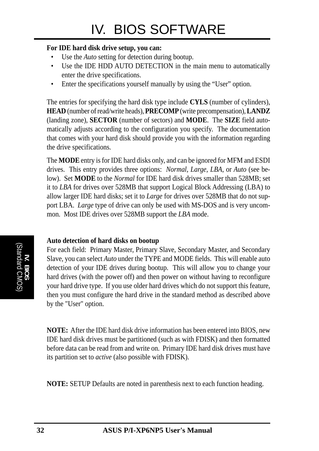#### **For IDE hard disk drive setup, you can:**

- Use the *Auto* setting for detection during bootup.
- Use the IDE HDD AUTO DETECTION in the main menu to automatically enter the drive specifications.
- Enter the specifications yourself manually by using the "User" option.

The entries for specifying the hard disk type include **CYLS** (number of cylinders), **HEAD** (number of read/write heads), **PRECOMP** (write precompensation), **LANDZ** (landing zone), **SECTOR** (number of sectors) and **MODE**. The **SIZE** field automatically adjusts according to the configuration you specify. The documentation that comes with your hard disk should provide you with the information regarding the drive specifications.

The **MODE** entry is for IDE hard disks only, and can be ignored for MFM and ESDI drives. This entry provides three options: *Normal, Large, LBA*, or *Auto* (see below). Set **MODE** to the *Normal* for IDE hard disk drives smaller than 528MB; set it to *LBA* for drives over 528MB that support Logical Block Addressing (LBA) to allow larger IDE hard disks; set it to *Large* for drives over 528MB that do not support LBA. *Large* type of drive can only be used with MS-DOS and is very uncommon. Most IDE drives over 528MB support the *LBA* mode.

#### **Auto detection of hard disks on bootup**

For each field: Primary Master, Primary Slave, Secondary Master, and Secondary Slave, you can select *Auto* under the TYPE and MODE fields. This will enable auto detection of your IDE drives during bootup. This will allow you to change your hard drives (with the power off) and then power on without having to reconfigure your hard drive type. If you use older hard drives which do not support this feature, then you must configure the hard drive in the standard method as described above by the "User" option.

**NOTE:** After the IDE hard disk drive information has been entered into BIOS, new IDE hard disk drives must be partitioned (such as with FDISK) and then formatted before data can be read from and write on. Primary IDE hard disk drives must have its partition set to *active* (also possible with FDISK).

**NOTE:** SETUP Defaults are noted in parenthesis next to each function heading.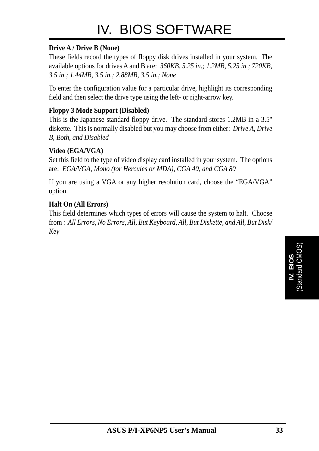# IV. BIOS SOFTWARE

#### **Drive A / Drive B (None)**

These fields record the types of floppy disk drives installed in your system. The available options for drives A and B are: *360KB, 5.25 in.; 1.2MB, 5.25 in.; 720KB, 3.5 in.; 1.44MB, 3.5 in.; 2.88MB, 3.5 in.; None*

To enter the configuration value for a particular drive, highlight its corresponding field and then select the drive type using the left- or right-arrow key.

#### **Floppy 3 Mode Support (Disabled)**

This is the Japanese standard floppy drive. The standard stores 1.2MB in a 3.5" diskette. This is normally disabled but you may choose from either: *Drive A, Drive B, Both, and Disabled*

#### **Video (EGA/VGA)**

Set this field to the type of video display card installed in your system. The options are: *EGA/VGA, Mono (for Hercules or MDA), CGA 40, and CGA 80*

If you are using a VGA or any higher resolution card, choose the "EGA/VGA" option.

#### **Halt On (All Errors)**

This field determines which types of errors will cause the system to halt. Choose from : *All Errors, No Errors, All, But Keyboard, All, But Diskette, and All, But Disk/ Key*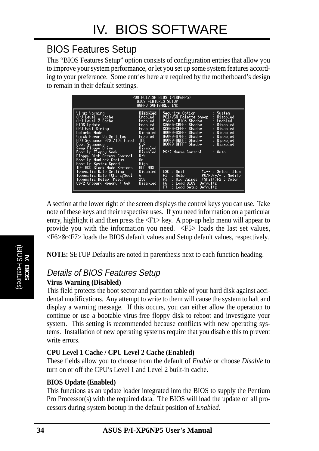### BIOS Features Setup

This "BIOS Features Setup" option consists of configuration entries that allow you to improve your system performance, or let you set up some system features according to your preference. Some entries here are required by the motherboard's design to remain in their default settings.

| <b>BIOS FEATURES SETUP</b><br>AWARD SOFTWARE, INC.                                                                                                                                                                                                                                                                                                                                               | ROM PCI/ISA BIOS (PIXP6NP5)                                                                                                                                                                                                                                                                                                                          |
|--------------------------------------------------------------------------------------------------------------------------------------------------------------------------------------------------------------------------------------------------------------------------------------------------------------------------------------------------------------------------------------------------|------------------------------------------------------------------------------------------------------------------------------------------------------------------------------------------------------------------------------------------------------------------------------------------------------------------------------------------------------|
| Virus Warning<br>: Disabled<br>CPU Level 1 Cache<br>: Enabled<br>CPU Level 2 Cache : Enabled<br>BIOS Update : Enabled<br>Quick Power On Self Test : Enabled<br>HDD Sequence SCSI/IDE First: IDE<br>: C.A<br>Boot Sequence<br>Swap Floppy Drive<br>: Disabled<br>Boot Up Floppy Seek : Disabled<br>Floppy Disk Access Control : R/W<br>Boot Up NumLock Status : On<br>Boot Up System Speed : High | Security Option<br>: Sustem<br>PCI/VGA Palette Snoop<br>Disabled<br>Video – BIOS Shadow – –<br>Enabled<br>C8000-CBFFF Shadow<br>Disabled<br>CC000-CFFFF Shadow<br>Disabled<br>D0000-D3FFF Shadow<br>Disabled<br>D4000-D7FFF Shadow<br>Disabled<br>D8000-DBFFF Shadow<br>Disabled<br>DC000-DFFFF Shadow<br>: Disabled<br>PS/2 Mouse Control<br>: Auto |
| IDE HDD Block Mode Sectors : HDD MAX<br>Typematic Rate Setting : Disabled<br>Typematic Rate (Chars/Sec) :<br>6<br>Typematic Delay (Msec) : 250<br>$0S/2$ Onboard Memory > 64M<br>: Disabled                                                                                                                                                                                                      | $\textsf{ESC}$ : Ouit<br>– ↑↓→← : Select Item<br>F1<br>PU/PD/+/- : Modify<br>: Help <b>Alla</b><br>F <sub>5</sub><br>: Old Values (Shift)F2 : Color<br>F6<br>: Load BIOS<br>Defaults<br>F7.<br>: Load Setup Defaults                                                                                                                                 |

A section at the lower right of the screen displays the control keys you can use. Take note of these keys and their respective uses. If you need information on a particular entry, highlight it and then press the  $\langle F1 \rangle$  key. A pop-up help menu will appear to provide you with the information you need. <F5> loads the last set values, <F6>&<F7> loads the BIOS default values and Setup default values, respectively.

**NOTE:** SETUP Defaults are noted in parenthesis next to each function heading.

#### Details of BIOS Features Setup **Virus Warning (Disabled)**

This field protects the boot sector and partition table of your hard disk against accidental modifications. Any attempt to write to them will cause the system to halt and display a warning message. If this occurs, you can either allow the operation to continue or use a bootable virus-free floppy disk to reboot and investigate your system. This setting is recommended because conflicts with new operating systems. Installation of new operating systems require that you disable this to prevent write errors.

#### **CPU Level 1 Cache / CPU Level 2 Cache (Enabled)**

These fields allow you to choose from the default of *Enable* or choose *Disable* to turn on or off the CPU's Level 1 and Level 2 built-in cache.

#### **BIOS Update (Enabled)**

This functions as an update loader integrated into the BIOS to supply the Pentium Pro Processor(s) with the required data. The BIOS will load the update on all processors during system bootup in the default position of *Enabled*.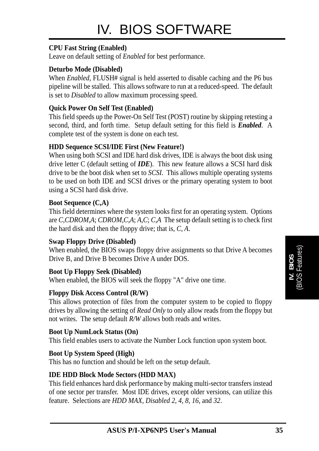#### **CPU Fast String (Enabled)**

Leave on default setting of *Enabled* for best performance.

#### **Deturbo Mode (Disabled)**

When *Enabled*, FLUSH# signal is held asserted to disable caching and the P6 bus pipeline will be stalled. This allows software to run at a reduced-speed. The default is set to *Disabled* to allow maximum processing speed.

#### **Quick Power On Self Test (Enabled)**

This field speeds up the Power-On Self Test (POST) routine by skipping retesting a second, third, and forth time. Setup default setting for this field is *Enabled*. A complete test of the system is done on each test.

#### **HDD Sequence SCSI/IDE First (New Feature!)**

When using both SCSI and IDE hard disk drives, IDE is always the boot disk using drive letter C (default setting of *IDE*). This new feature allows a SCSI hard disk drive to be the boot disk when set to *SCSI*. This allows multiple operating systems to be used on both IDE and SCSI drives or the primary operating system to boot using a SCSI hard disk drive.

#### **Boot Sequence (C,A)**

This field determines where the system looks first for an operating system. Options are *C,CDROM,A*; *CDROM,C,A*; *A,C*; *C,A* The setup default setting is to check first the hard disk and then the floppy drive; that is, *C, A*.

#### **Swap Floppy Drive (Disabled)**

When enabled, the BIOS swaps floppy drive assignments so that Drive A becomes Drive B, and Drive B becomes Drive A under DOS.

#### **Boot Up Floppy Seek (Disabled)**

When enabled, the BIOS will seek the floppy "A" drive one time.

#### **Floppy Disk Access Control (R/W)**

This allows protection of files from the computer system to be copied to floppy drives by allowing the setting of *Read Only* to only allow reads from the floppy but not writes. The setup default *R/W* allows both reads and writes.

#### **Boot Up NumLock Status (On)**

This field enables users to activate the Number Lock function upon system boot.

#### **Boot Up System Speed (High)**

This has no function and should be left on the setup default.

#### **IDE HDD Block Mode Sectors (HDD MAX)**

This field enhances hard disk performance by making multi-sector transfers instead of one sector per transfer. Most IDE drives, except older versions, can utilize this feature. Selections are *HDD MAX, Disabled 2, 4, 8, 16,* and *32*.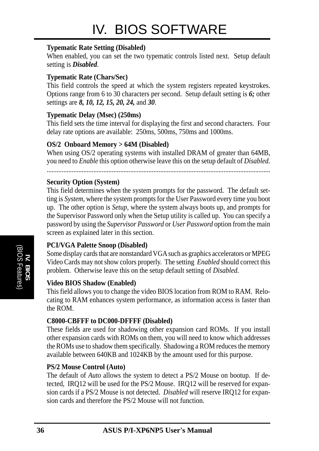#### **Typematic Rate Setting (Disabled)**

When enabled, you can set the two typematic controls listed next. Setup default setting is *Disabled*.

#### **Typematic Rate (Chars/Sec)**

This field controls the speed at which the system registers repeated keystrokes. Options range from 6 to 30 characters per second. Setup default setting is *6;* other settings are *8, 10, 12, 15, 20, 24,* and *30*.

#### **Typematic Delay (Msec) (250ms)**

This field sets the time interval for displaying the first and second characters. Four delay rate options are available: 250ms, 500ms, 750ms and 1000ms.

#### **OS/2 Onboard Memory > 64M (Disabled)**

When using OS/2 operating systems with installed DRAM of greater than 64MB, you need to *Enable* this option otherwise leave this on the setup default of *Disabled*.

......................................................................................................................................

#### **Security Option (System)**

This field determines when the system prompts for the password. The default setting is *System*, where the system prompts for the User Password every time you boot up. The other option is *Setup*, where the system always boots up, and prompts for the Supervisor Password only when the Setup utility is called up. You can specify a password by using the *Supervisor Password* or *User Password* option from the main screen as explained later in this section.

#### **PCI/VGA Palette Snoop (Disabled)**

Some display cards that are nonstandard VGA such as graphics accelerators or MPEG Video Cards may not show colors properly. The setting *Enabled* should correct this problem. Otherwise leave this on the setup default setting of *Disabled*.

#### **Video BIOS Shadow (Enabled)**

This field allows you to change the video BIOS location from ROM to RAM. Relocating to RAM enhances system performance, as information access is faster than the ROM.

#### **C8000-CBFFF to DC000-DFFFF (Disabled)**

These fields are used for shadowing other expansion card ROMs. If you install other expansion cards with ROMs on them, you will need to know which addresses the ROMs use to shadow them specifically. Shadowing a ROM reduces the memory available between 640KB and 1024KB by the amount used for this purpose.

#### **PS/2 Mouse Control (Auto)**

The default of *Auto* allows the system to detect a PS/2 Mouse on bootup. If detected, IRQ12 will be used for the PS/2 Mouse. IRQ12 will be reserved for expansion cards if a PS/2 Mouse is not detected. *Disabled* will reserve IRQ12 for expansion cards and therefore the PS/2 Mouse will not function.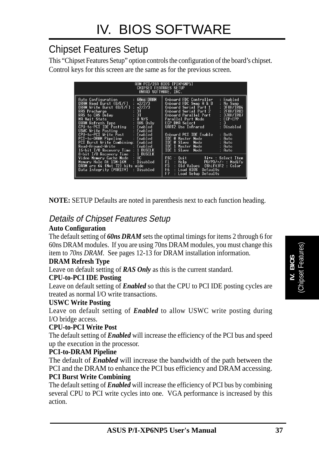## Chipset Features Setup

This "Chipset Features Setup" option controls the configuration of the board's chipset. Control keys for this screen are the same as for the previous screen.

| CHIPSET FEATURES SETUP<br>AWARD SOFTWARE, INC.                                                                                                                                                                                                                                                                                                                                                                                                                                                                                                                                                                                                                                                                   | ROM PCI/ISA BIOS (PIXP6NP5)                                                                                                                                                                                                                                                                                                                                                                                                                                                                                                                                                                                                                                       |                                                                                              |
|------------------------------------------------------------------------------------------------------------------------------------------------------------------------------------------------------------------------------------------------------------------------------------------------------------------------------------------------------------------------------------------------------------------------------------------------------------------------------------------------------------------------------------------------------------------------------------------------------------------------------------------------------------------------------------------------------------------|-------------------------------------------------------------------------------------------------------------------------------------------------------------------------------------------------------------------------------------------------------------------------------------------------------------------------------------------------------------------------------------------------------------------------------------------------------------------------------------------------------------------------------------------------------------------------------------------------------------------------------------------------------------------|----------------------------------------------------------------------------------------------|
| Auto Configuration : 60ns DRAM<br>DRAM Read Burst $(B/EF)$ : $x2/2/3$<br>DRAM Write Burst $(B/E/F)$ : $x2/2/3$<br>RAS Precharge<br>RAS to CAS Delay<br>MA Wait State<br>DRAM Refresh Iype<br>1989 MA Refresh Iype<br>1989 MA Refresh Iype<br>1989 MA Refresh Iype<br>CPU-to-PCI IDE Posting : Enabled<br>USWC Write Posting : Enabled<br>CPU-to-PCI Write Post : Enabled<br>PCI-to-DRAM Pipeline : Enabled<br>PCI Burst Write Combining: Enabled<br>Read-Around-Write : Enabled<br>16-bit I/O Recovery Time : 1 BUSCLK<br>8-bit I/O Recovery Time : 1 BUSCLK<br>Video Memory Cache Mode : UC<br>Memory Hole At 15M-16M : Disabled<br><u>DRAM are 64 (Not 72) bits wide</u><br>Data Integrity (PARITY) : Disabled | Onboard FDC Controller<br>Onboard FDC Swap A & B<br>Onboard Serial Port 1<br>Onboard Serial Port 2<br>Onboard Parallel Port<br>Parallel Port Mode <b>Parallel</b><br>ECP DMA Sele <u>ct Film</u><br>$\bullet$<br>$U$ ART2 Use Infrared $\Box$<br>Onboard PCI IDE Enable<br>: Both<br>IDE 0 Master Mode – John John Stone<br>: Auto<br>IDE 0 Slave Mode<br>: Auto<br>IDE 1 Master Mode<br>: Auto<br>IDE 1 Slave Mode<br>: Auto<br><b>ESC</b><br>: Quit → †↓→← : Select Item<br>F1<br>$\therefore$ Help $\qquad \qquad \qquad$<br>PU/PD/+/- : Modify<br>F5 : Old Values (Shift)F2 : Color<br>F <sub>6</sub><br>: Load BIOS<br>Defaults<br>F7<br>Load Setup Defaults | : Enabled<br>No Swap<br>: 3F8H/IRO4<br>: 2F8H7IR03<br>: 378H/IRO7<br>: ECP+EPP<br>: Disabled |

**NOTE:** SETUP Defaults are noted in parenthesis next to each function heading.

### Details of Chipset Features Setup

#### **Auto Configuration**

The default setting of *60ns DRAM* sets the optimal timings for items 2 through 6 for 60ns DRAM modules. If you are using 70ns DRAM modules, you must change this item to *70ns DRAM*. See pages 12-13 for DRAM installation information.

#### **DRAM Refresh Type**

Leave on default setting of *RAS Only* as this is the current standard.

#### **CPU-to-PCI IDE Posting**

Leave on default setting of *Enabled* so that the CPU to PCI IDE posting cycles are treated as normal I/O write transactions.

#### **USWC Write Posting**

Leave on default setting of *Enabled* to allow USWC write posting during I/O bridge access.

#### **CPU-to-PCI Write Post**

The default setting of *Enabled* will increase the efficiency of the PCI bus and speed up the execution in the processor.

#### **PCI-to-DRAM Pipeline**

The default of *Enabled* will increase the bandwidth of the path between the PCI and the DRAM to enhance the PCI bus efficiency and DRAM accessing. **PCI Burst Write Combining**

The default setting of *Enabled* will increase the efficiency of PCI bus by combining several CPU to PCI write cycles into one. VGA performance is increased by this action.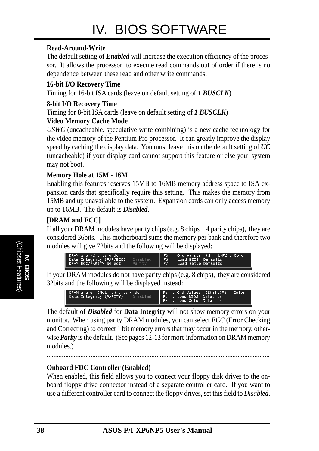#### **Read-Around-Write**

The default setting of *Enabled* will increase the execution efficiency of the processor. It allows the processor to execute read commands out of order if there is no dependence between these read and other write commands.

#### **16-bit I/O Recovery Time**

Timing for 16-bit ISA cards (leave on default setting of *1 BUSCLK*)

#### **8-bit I/O Recovery Time**

Timing for 8-bit ISA cards (leave on default setting of *1 BUSCLK*)

#### **Video Memory Cache Mode**

*USWC* (uncacheable, speculative write combining) is a new cache technology for the video memory of the Pentium Pro processor. It can greatly improve the display speed by caching the display data. You must leave this on the default setting of *UC* (uncacheable) if your display card cannot support this feature or else your system may not boot.

#### **Memory Hole at 15M - 16M**

Enabling this features reserves 15MB to 16MB memory address space to ISA expansion cards that specifically require this setting. This makes the memory from 15MB and up unavailable to the system. Expansion cards can only access memory up to 16MB. The default is *Disabled*.

#### **[DRAM and ECC]**

If all your DRAM modules have parity chips  $(e.g., 8 chips + 4 parity chips)$ , they are considered 36bits. This motherboard sums the memory per bank and therefore two modules will give 72bits and the following will be displayed:



If your DRAM modules do not have parity chips (e.g. 8 chips), they are considered 32bits and the following will be displayed instead:



The default of *Disabled* for **Data Integrity** will not show memory errors on your monitor. When using parity DRAM modules, you can select *ECC* (Error Checking and Correcting) to correct 1 bit memory errors that may occur in the memory, otherwise *Parity* is the default. (See pages 12-13 for more information on DRAM memory modules.)

....................................................................................................................................

#### **Onboard FDC Controller (Enabled)**

When enabled, this field allows you to connect your floppy disk drives to the onboard floppy drive connector instead of a separate controller card. If you want to use a different controller card to connect the floppy drives, set this field to *Disabled*.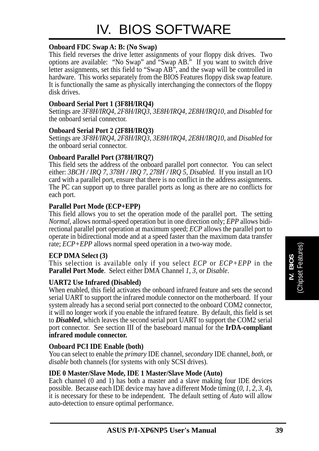#### **Onboard FDC Swap A: B: (No Swap)**

This field reverses the drive letter assignments of your floppy disk drives. Two options are available: "No Swap" and "Swap AB." If you want to switch drive letter assignments, set this field to "Swap AB", and the swap will be controlled in hardware. This works separately from the BIOS Features floppy disk swap feature. It is functionally the same as physically interchanging the connectors of the floppy disk drives.

#### **Onboard Serial Port 1 (3F8H/IRQ4)**

Settings are *3F8H/IRQ4*, *2F8H/IRQ3, 3E8H/IRQ4, 2E8H/IRQ10,* and *Disabled* for the onboard serial connector.

#### **Onboard Serial Port 2 (2F8H/IRQ3)**

Settings are *3F8H/IRQ4, 2F8H/IRQ3*, *3E8H/IRQ4, 2E8H/IRQ10,* and *Disabled* for the onboard serial connector.

#### **Onboard Parallel Port (378H/IRQ7)**

This field sets the address of the onboard parallel port connector. You can select either: *3BCH / IRQ 7, 378H / IRQ 7, 278H / IRQ 5, Disabled.* If you install an I/O card with a parallel port, ensure that there is no conflict in the address assignments. The PC can support up to three parallel ports as long as there are no conflicts for each port.

#### **Parallel Port Mode (ECP+EPP)**

This field allows you to set the operation mode of the parallel port. The setting *Normal*, allows normal-speed operation but in one direction only; *EPP* allows bidirectional parallel port operation at maximum speed; *ECP* allows the parallel port to operate in bidirectional mode and at a speed faster than the maximum data transfer rate; *ECP+EPP* allows normal speed operation in a two-way mode.

#### **ECP DMA Select (3)**

This selection is available only if you select *ECP* or *ECP+EPP* in the **Parallel Port Mode**. Select either DMA Channel *1, 3*, or *Disable*.

#### **UART2 Use Infrared (Disabled)**

When enabled, this field activates the onboard infrared feature and sets the second serial UART to support the infrared module connector on the motherboard. If your system already has a second serial port connected to the onboard COM2 connector, it will no longer work if you enable the infrared feature. By default, this field is set to *Disabled*, which leaves the second serial port UART to support the COM2 serial port connector. See section III of the baseboard manual for the **IrDA-compliant infrared module connector.**

#### **Onboard PCI IDE Enable (both)**

You can select to enable the *primary* IDE channel, *secondary* IDE channel, *both*, or *disable* both channels (for systems with only SCSI drives).

#### **IDE 0 Master/Slave Mode, IDE 1 Master/Slave Mode (Auto)**

Each channel (0 and 1) has both a master and a slave making four IDE devices possible. Because each IDE device may have a different Mode timing (*0, 1, 2, 3, 4*), it is necessary for these to be independent. The default setting of *Auto* will allow auto-detection to ensure optimal performance.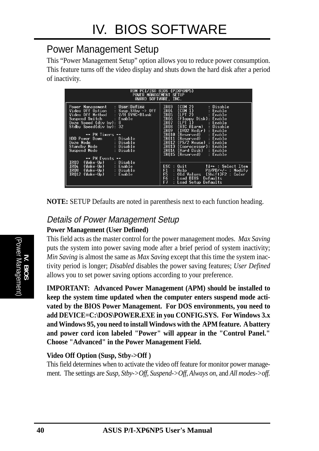### Power Management Setup

This "Power Management Setup" option allows you to reduce power consumption. This feature turns off the video display and shuts down the hard disk after a period of inactivity.

| POWER MANAGEMENT SETUP<br>AWARD SOFTWARE, INC.                                                                                                                                                                                                                                                                     | ROM PCI/ISA BIOS (PIXP6NP5)                                                                                                                                                                                                                                                                                                                                                                                                                                               |
|--------------------------------------------------------------------------------------------------------------------------------------------------------------------------------------------------------------------------------------------------------------------------------------------------------------------|---------------------------------------------------------------------------------------------------------------------------------------------------------------------------------------------------------------------------------------------------------------------------------------------------------------------------------------------------------------------------------------------------------------------------------------------------------------------------|
| : User Define<br>Power Management -<br>Video Off Option : Susp, Stby $\rightarrow$ Off<br>Video Off Method : V/H SYNC+Blank<br>Suspend Switch : Enable<br>Doze $Speed$ (div by): $8$<br>Stdby Speed(div by): 32<br>** PM Timers **<br>HDD Power Down     : Disable<br>Suspend Mode<br>: Disable<br>** PM Events ** | IR <sub>03</sub><br>(CDM <sub>2</sub> )<br>: Disable<br>(COM 1)<br>IRO4<br>: Enable<br>(LPT 2) : Enable<br><b>IR05</b><br>(Floppy Disk): Enable<br>IR06<br>(LPT 1)<br>IRO7<br><b>Enable</b> : Enable<br>(RTC Alarm) : Disable<br>IR08<br>$(\text{IR02 Redir})$ : Enable<br>IRO9 I<br>IRO10 (Reserved) : Enable<br>IRQ11 (Reserved) : Enable<br>IR012 (PS/2 Mouse) : Enable<br>IR013 (Coprocessor): Enable<br>IR014 (Hard Disk) : Enable<br>IRO15 (Reserved) –<br>: Enable |
| IR03<br>(Wake-Up) : Disable<br>IRO4<br>(Wake-Up) : Enable<br>(Wake-Up) : Disable<br>IR08<br>IRO12 (Wake-Up)<br>: Enable                                                                                                                                                                                            | $\textsf{ESC}$ : Ouit<br>–↑↓→← : Select Item<br>F1<br>$\pm$ Help $\pm$<br>PU/PD/+/- : Modify<br>F <sub>5</sub><br>: Old Values (Shift)F2 : Color<br>F6<br>: Load BIOS Defaults<br>F7.<br>: Load Setup Defaults                                                                                                                                                                                                                                                            |

**NOTE:** SETUP Defaults are noted in parenthesis next to each function heading.

### Details of Power Management Setup **Power Management (User Defined)**

This field acts as the master control for the power management modes. *Max Saving* puts the system into power saving mode after a brief period of system inactivity; *Min Saving* is almost the same as *Max Saving* except that this time the system inactivity period is longer; *Disabled* disables the power saving features; *User Defined* allows you to set power saving options according to your preference.

**IMPORTANT: Advanced Power Management (APM) should be installed to keep the system time updated when the computer enters suspend mode activated by the BIOS Power Management. For DOS environments, you need to add DEVICE=C:\DOS\POWER.EXE in you CONFIG.SYS. For Windows 3.x and Windows 95, you need to install Windows with the APM feature. A battery and power cord icon labeled "Power" will appear in the "Control Panel." Choose "Advanced" in the Power Management Field.**

#### **Video Off Option (Susp, Stby->Off )**

This field determines when to activate the video off feature for monitor power management. The settings are *Susp, Stby->Off, Suspend->Off, Always on,* and *All modes->off.*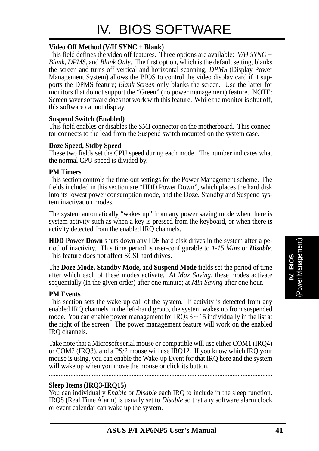#### **Video Off Method (V/H SYNC + Blank)**

This field defines the video off features. Three options are available: *V/H SYNC + Blank, DPMS,* and *Blank Only*. The first option, which is the default setting, blanks the screen and turns off vertical and horizontal scanning; *DPMS* (Display Power Management System) allows the BIOS to control the video display card if it supports the DPMS feature; *Blank Screen* only blanks the screen. Use the latter for monitors that do not support the "Green" (no power management) feature. NOTE: Screen saver software does not work with this feature. While the monitor is shut off, this software cannot display.

#### **Suspend Switch (Enabled)**

This field enables or disables the SMI connector on the motherboard. This connector connects to the lead from the Suspend switch mounted on the system case.

#### **Doze Speed, Stdby Speed**

These two fields set the CPU speed during each mode. The number indicates what the normal CPU speed is divided by.

#### **PM Timers**

This section controls the time-out settings for the Power Management scheme. The fields included in this section are "HDD Power Down", which places the hard disk into its lowest power consumption mode, and the Doze, Standby and Suspend system inactivation modes.

The system automatically "wakes up" from any power saving mode when there is system activity such as when a key is pressed from the keyboard, or when there is activity detected from the enabled IRQ channels.

**HDD Power Down** shuts down any IDE hard disk drives in the system after a period of inactivity. This time period is user-configurable to *1-15 Mins* or *Disable*. This feature does not affect SCSI hard drives.

The **Doze Mode, Standby Mode,** and **Suspend Mode** fields set the period of time after which each of these modes activate. At *Max Saving*, these modes activate sequentially (in the given order) after one minute; at *Min Saving* after one hour.

#### **PM Events**

This section sets the wake-up call of the system. If activity is detected from any enabled IRQ channels in the left-hand group, the system wakes up from suspended mode. You can enable power management for IRQs  $3 \sim 15$  individually in the list at the right of the screen. The power management feature will work on the enabled IRQ channels.

Take note that a Microsoft serial mouse or compatible will use either COM1 (IRQ4) or COM2 (IRQ3), and a PS/2 mouse will use IRQ12. If you know which IRQ your mouse is using, you can enable the Wake-up Event for that IRQ here and the system will wake up when you move the mouse or click its button.

.......................................................................................................................................

#### **Sleep Items (IRQ3-IRQ15)**

You can individually *Enable* or *Disable* each IRQ to include in the sleep function. IRQ8 (Real Time Alarm) is usually set to *Disable* so that any software alarm clock or event calendar can wake up the system.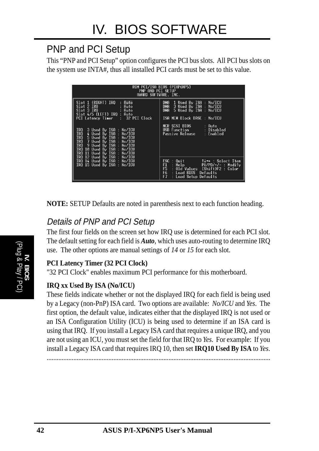### PNP and PCI Setup

This "PNP and PCI Setup" option configures the PCI bus slots. All PCI bus slots on the system use INTA#, thus all installed PCI cards must be set to this value.

|                                                                                                                                                                                                                                                                              | ROM PCI/ISA BIOS (PIXP6NP5)                                                                                                                                                                         |
|------------------------------------------------------------------------------------------------------------------------------------------------------------------------------------------------------------------------------------------------------------------------------|-----------------------------------------------------------------------------------------------------------------------------------------------------------------------------------------------------|
| PNP AND PCI SETUP<br>AWARD SOFTWARE, INC.                                                                                                                                                                                                                                    |                                                                                                                                                                                                     |
|                                                                                                                                                                                                                                                                              |                                                                                                                                                                                                     |
| Slot 1 (RIGHT) IRO : Auto<br>Slot 4/5 (LEFT) IRO : Auto                                                                                                                                                                                                                      | DMA.<br>1 Used By ISA : No/ICU<br><b>DMA</b><br>3 Used By ISA : No/ICU<br><b>DMA</b><br>5 Used By ISA : No/ICU                                                                                      |
| PCI Latency Timer : 32 PCI Clock                                                                                                                                                                                                                                             | ISA MEM Block BASE : No/ICU                                                                                                                                                                         |
| IRO.<br>3 Used By ISA : No/ICU<br>IR <sub>0</sub><br>4 Used By ISA : No/ICU<br>5 Used By ISA : No/ICU<br>IRQ<br>7 Used By ISA : No/ICU<br>IRQ<br>9 Used By ISA : No/ICU<br>IRO.<br>IRQ 10 Used By ISA : No/ICU<br>IRO 11 Used By ISA : No/ICU<br>IRO 12 Used By ISA : No/ICU | NCR SCSI BIOS<br>: Auto<br>USB Function : Disabled<br>: Enabled<br>Passive Release —                                                                                                                |
| IRQ 14 Used By ISA : No/ICU<br>IRO 15 Used By ISA : No/ICU                                                                                                                                                                                                                   | ESC : Ouit<br>↑↓→← : Select Item<br>$\therefore$ Help $PU/PD/*/-$ : Modify<br>F1<br>F <sub>5</sub><br>: Old Values (Shift)F2 : Color<br>F6.<br>: Load BIOS Defaults<br>F7.<br>: Load Setup Defaults |

**NOTE:** SETUP Defaults are noted in parenthesis next to each function heading.

### Details of PNP and PCI Setup

The first four fields on the screen set how IRQ use is determined for each PCI slot. The default setting for each field is *Auto*, which uses auto-routing to determine IRQ use. The other options are manual settings of *14* or *15* for each slot.

#### **PCI Latency Timer (32 PCI Clock)**

"32 PCI Clock" enables maximum PCI performance for this motherboard.

#### **IRQ xx Used By ISA (No/ICU)**

These fields indicate whether or not the displayed IRQ for each field is being used by a Legacy (non-PnP) ISA card. Two options are available: *No/ICU* and *Yes*. The first option, the default value, indicates either that the displayed IRQ is not used or an ISA Configuration Utility (ICU) is being used to determine if an ISA card is using that IRQ. If you install a Legacy ISA card that requires a unique IRQ, and you are not using an ICU, you must set the field for that IRQ to *Yes*. For example: If you install a Legacy ISA card that requires IRQ 10, then set **IRQ10 Used By ISA** to *Yes*.

......................................................................................................................................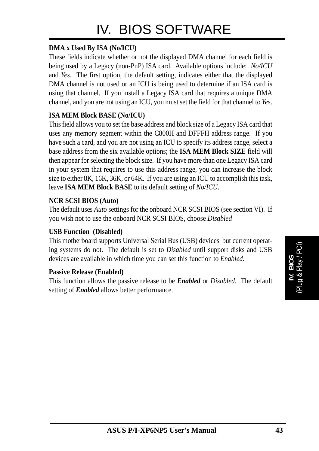#### **DMA x Used By ISA (No/ICU)**

These fields indicate whether or not the displayed DMA channel for each field is being used by a Legacy (non-PnP) ISA card. Available options include: *No/ICU* and *Yes*. The first option, the default setting, indicates either that the displayed DMA channel is not used or an ICU is being used to determine if an ISA card is using that channel. If you install a Legacy ISA card that requires a unique DMA channel, and you are not using an ICU, you must set the field for that channel to *Yes*.

#### **ISA MEM Block BASE (No/ICU)**

This field allows you to set the base address and block size of a Legacy ISA card that uses any memory segment within the C800H and DFFFH address range. If you have such a card, and you are not using an ICU to specify its address range, select a base address from the six available options; the **ISA MEM Block SIZE** field will then appear for selecting the block size. If you have more than one Legacy ISA card in your system that requires to use this address range, you can increase the block size to either 8K, 16K, 36K, or 64K. If you are using an ICU to accomplish this task, leave **ISA MEM Block BASE** to its default setting of *No/ICU*.

#### **NCR SCSI BIOS (Auto)**

The default uses *Auto* settings for the onboard NCR SCSI BIOS (see section VI). If you wish not to use the onboard NCR SCSI BIOS, choose *Disabled*

#### **USB Function (Disabled)**

This motherboard supports Universal Serial Bus (USB) devices but current operating systems do not. The default is set to *Disabled* until support disks and USB devices are available in which time you can set this function to *Enabled*.

#### **Passive Release (Enabled)**

This function allows the passive release to be *Enabled* or *Disabled*. The default setting of *Enabled* allows better performance.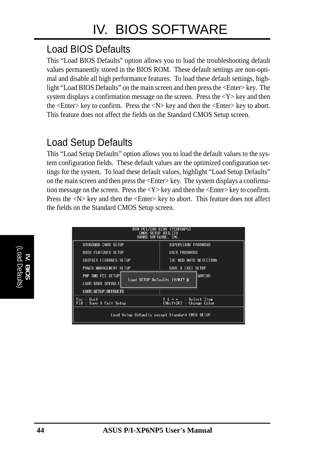## Load BIOS Defaults

This "Load BIOS Defaults" option allows you to load the troubleshooting default values permanently stored in the BIOS ROM. These default settings are non-optimal and disable all high performance features. To load these default settings, highlight "Load BIOS Defaults" on the main screen and then press the <Enter> key. The system displays a confirmation message on the screen. Press the  $\langle Y \rangle$  key and then the  $\leq$ Enter $\geq$  key to confirm. Press the  $\leq$ N $\geq$  key and then the  $\leq$ Enter $\geq$  key to abort. This feature does not affect the fields on the Standard CMOS Setup screen.

## Load Setup Defaults

This "Load Setup Defaults" option allows you to load the default values to the system configuration fields. These default values are the optimized configuration settings for the system. To load these default values, highlight "Load Setup Defaults" on the main screen and then press the <Enter> key. The system displays a confirmation message on the screen. Press the  $\langle Y \rangle$  key and then the  $\langle$ Enter $\rangle$  key to confirm. Press the  $\langle N \rangle$  key and then the  $\langle$ Enter $\rangle$  key to abort. This feature does not affect the fields on the Standard CMOS Setup screen.

| PCI/ISA BIOS (PIXP6NP5)<br>CMOS SETUP UTILITY<br>AWARD SOFTWARE, INC.                   |                                                  |  |  |
|-----------------------------------------------------------------------------------------|--------------------------------------------------|--|--|
| STANDARD CMOS SETUP                                                                     | SUPERVISOR PASSWORD                              |  |  |
| <b>BIOS FEATURES SETUP</b>                                                              | USER PASSWORD                                    |  |  |
| CHIPSET FEATURES SETUP                                                                  | IDE HDD AUTO DETECTION                           |  |  |
| POWER MANAGEMENT SETUP                                                                  | SAVE & EXIT SETUP                                |  |  |
| <b>SAVTNG</b><br>PNP AND PCI SETUP<br>Load SETUP Defaults (Y/N)? W<br>LOAD BIOS DEFAULT |                                                  |  |  |
| LOAD SETUP DEFAULTS                                                                     |                                                  |  |  |
| Esc : Ouit<br>F10 : Save & Exit Setup                                                   | ↑↓ → ← : Select Item<br>(Shift)F2 : Change Color |  |  |
| Load Setup Defaults except Standard CMOS SETUP                                          |                                                  |  |  |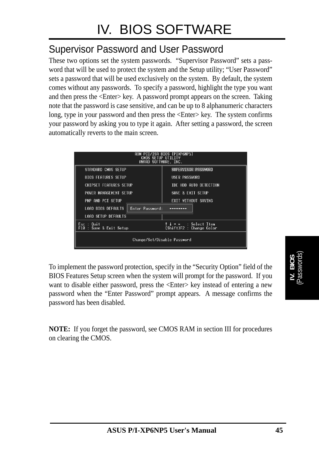## Supervisor Password and User Password

These two options set the system passwords. "Supervisor Password" sets a password that will be used to protect the system and the Setup utility; "User Password" sets a password that will be used exclusively on the system. By default, the system comes without any passwords. To specify a password, highlight the type you want and then press the <Enter> key. A password prompt appears on the screen. Taking note that the password is case sensitive, and can be up to 8 alphanumeric characters long, type in your password and then press the  $\leq$  Enter $\geq$  key. The system confirms your password by asking you to type it again. After setting a password, the screen automatically reverts to the main screen.

| ROM PCI/ISA BIOS (PIXP6NP5)<br>CMOS SETUP UTTLITY<br>AWARD SOFTWARE, INC. |                                                      |  |  |
|---------------------------------------------------------------------------|------------------------------------------------------|--|--|
| STANDARD CMOS SETUP                                                       | SUPERVISOR PASSHORD                                  |  |  |
| <b>BIOS FEATURES SETUP</b>                                                | USER PASSWORD                                        |  |  |
| CHTPSFT FFATURFS SFTUP                                                    | TDE HDD AUTO DETECTION                               |  |  |
| POWER MANAGEMENT SETUP                                                    | SAVE & EXIT SETUP                                    |  |  |
| PNP AND PCI SETUP                                                         | EXIT WITHOUT SAVING                                  |  |  |
| LOAD BIOS DEFAULTS  <br>Enter Password:                                   |                                                      |  |  |
| LOAD SETUP DEFAULTS                                                       |                                                      |  |  |
| Esc: 0uit<br>F10 : Save & Exit Setup                                      | ↑↓ → ←   : Select Item<br>$(Shift)F2$ : Change Color |  |  |
| Change/Set/Disable Password                                               |                                                      |  |  |

To implement the password protection, specify in the "Security Option" field of the BIOS Features Setup screen when the system will prompt for the password. If you want to disable either password, press the <Enter> key instead of entering a new password when the "Enter Password" prompt appears. A message confirms the password has been disabled.

**NOTE:** If you forget the password, see CMOS RAM in section III for procedures on clearing the CMOS.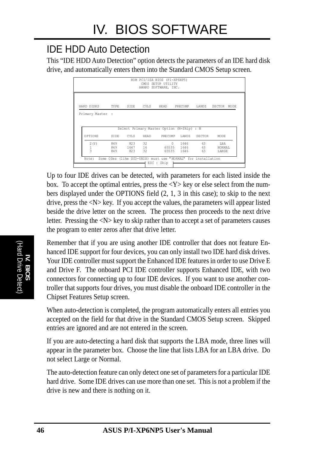### IDE HDD Auto Detection

This "IDE HDD Auto Detection" option detects the parameters of an IDE hard disk drive, and automatically enters them into the Standard CMOS Setup screen.



Up to four IDE drives can be detected, with parameters for each listed inside the box. To accept the optimal entries, press the  $\langle Y \rangle$  key or else select from the numbers displayed under the OPTIONS field (2, 1, 3 in this case); to skip to the next drive, press the  $\langle N \rangle$  key. If you accept the values, the parameters will appear listed beside the drive letter on the screen. The process then proceeds to the next drive letter. Pressing the  $\langle N \rangle$  key to skip rather than to accept a set of parameters causes the program to enter zeros after that drive letter.

Remember that if you are using another IDE controller that does not feature Enhanced IDE support for four devices, you can only install two IDE hard disk drives. Your IDE controller must support the Enhanced IDE features in order to use Drive E and Drive F. The onboard PCI IDE controller supports Enhanced IDE, with two connectors for connecting up to four IDE devices. If you want to use another controller that supports four drives, you must disable the onboard IDE controller in the Chipset Features Setup screen.

When auto-detection is completed, the program automatically enters all entries you accepted on the field for that drive in the Standard CMOS Setup screen. Skipped entries are ignored and are not entered in the screen.

If you are auto-detecting a hard disk that supports the LBA mode, three lines will appear in the parameter box. Choose the line that lists LBA for an LBA drive. Do not select Large or Normal.

The auto-detection feature can only detect one set of parameters for a particular IDE hard drive. Some IDE drives can use more than one set. This is not a problem if the drive is new and there is nothing on it.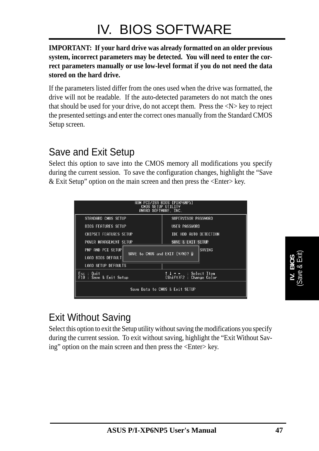**IMPORTANT: If your hard drive was already formatted on an older previous system, incorrect parameters may be detected. You will need to enter the correct parameters manually or use low-level format if you do not need the data stored on the hard drive.**

If the parameters listed differ from the ones used when the drive was formatted, the drive will not be readable. If the auto-detected parameters do not match the ones that should be used for your drive, do not accept them. Press the  $\langle N \rangle$  key to reject the presented settings and enter the correct ones manually from the Standard CMOS Setup screen.

### Save and Exit Setup

Select this option to save into the CMOS memory all modifications you specify during the current session. To save the configuration changes, highlight the "Save & Exit Setup" option on the main screen and then press the <Enter> key.

| PCI/ISA BIOS (PIXP6NP5)<br>RUM<br>CMOS SETUP UTILITY<br>AWARD SOFTWARE, INC. |                                               |  |  |  |
|------------------------------------------------------------------------------|-----------------------------------------------|--|--|--|
| STANDARD CMOS SETUP                                                          | SUPERVISOR PASSWORD                           |  |  |  |
| <b>BIOS FEATURES SETUP</b>                                                   | USER PASSWORD                                 |  |  |  |
| CHIPSET FEATURES SETUP                                                       | IDE HDD AUTO DETECTION                        |  |  |  |
| POWER MANAGEMENT SETUP                                                       | SAVE & EXIT SETUP                             |  |  |  |
| PNP AND PCI SETUP<br>SAVE to CMOS and EXIT (Y/N)? U<br>LOAD BIOS DEFAULT     | SAVING                                        |  |  |  |
| LOAD SETUP DEFAULTS                                                          |                                               |  |  |  |
| Esc : Ouit<br>F10 : Save & Exit Setup                                        | → ← : Select Item<br>(Shift)F2 : Change Color |  |  |  |
| Save Data to CMOS & Exit SETUP                                               |                                               |  |  |  |

# Exit Without Saving

Select this option to exit the Setup utility without saving the modifications you specify during the current session. To exit without saving, highlight the "Exit Without Saving" option on the main screen and then press the <Enter> key.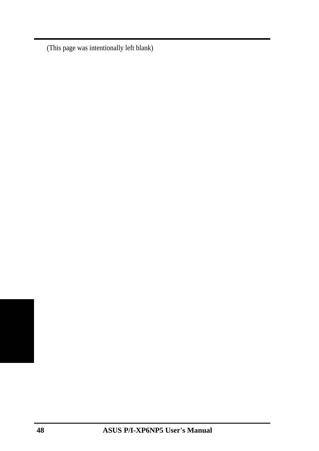(This page was intentionally left blank)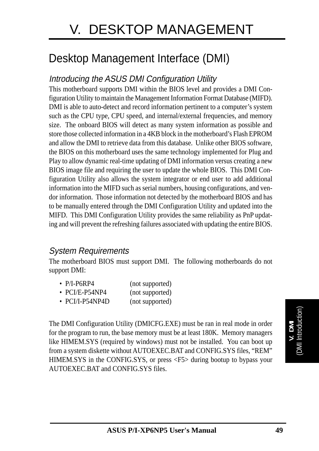# Desktop Management Interface (DMI)

### Introducing the ASUS DMI Configuration Utility

This motherboard supports DMI within the BIOS level and provides a DMI Configuration Utility to maintain the Management Information Format Database (MIFD). DMI is able to auto-detect and record information pertinent to a computer's system such as the CPU type, CPU speed, and internal/external frequencies, and memory size. The onboard BIOS will detect as many system information as possible and store those collected information in a 4KB block in the motherboard's Flash EPROM and allow the DMI to retrieve data from this database. Unlike other BIOS software, the BIOS on this motherboard uses the same technology implemented for Plug and Play to allow dynamic real-time updating of DMI information versus creating a new BIOS image file and requiring the user to update the whole BIOS. This DMI Configuration Utility also allows the system integrator or end user to add additional information into the MIFD such as serial numbers, housing configurations, and vendor information. Those information not detected by the motherboard BIOS and has to be manually entered through the DMI Configuration Utility and updated into the MIFD. This DMI Configuration Utility provides the same reliability as PnP updating and will prevent the refreshing failures associated with updating the entire BIOS.

### System Requirements

The motherboard BIOS must support DMI. The following motherboards do not support DMI:

| • $P/I-P6RP4$         | (not supported) |
|-----------------------|-----------------|
| $\cdot$ PCI/E-P54NP4  | (not supported) |
| $\cdot$ PCI/I-P54NP4D | (not supported) |

The DMI Configuration Utility (DMICFG.EXE) must be ran in real mode in order for the program to run, the base memory must be at least 180K. Memory managers like HIMEM.SYS (required by windows) must not be installed. You can boot up from a system diskette without AUTOEXEC.BAT and CONFIG.SYS files, "REM" HIMEM.SYS in the CONFIG.SYS, or press <F5> during bootup to bypass your AUTOEXEC.BAT and CONFIG.SYS files.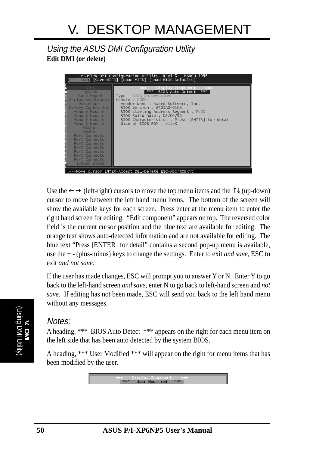### Using the ASUS DMI Configuration Utility **Edit DMI (or delete)**



Use the  $\leftarrow \rightarrow$  (left-right) cursors to move the top menu items and the  $\uparrow \downarrow$  (up-down) cursor to move between the left hand menu items. The bottom of the screen will show the available keys for each screen. Press enter at the menu item to enter the right hand screen for editing. "Edit component" appears on top. The reversed color field is the current cursor position and the blue text are available for editing. The orange text shows auto-detected information and are not available for editing. The blue text "Press [ENTER] for detail" contains a second pop-up menu is available, use the + - (plus-minus) keys to change the settings. Enter to exit *and save*, ESC to exit *and not save*.

If the user has made changes, ESC will prompt you to answer Y or N. Enter Y to go back to the left-hand screen *and save*, enter N to go back to left-hand screen and *not save*. If editing has not been made, ESC will send you back to the left hand menu without any messages.

#### Notes:

A heading, \*\*\* BIOS Auto Detect \*\*\* appears on the right for each menu item on the left side that has been auto detected by the system BIOS.

A heading, \*\*\* User Modified \*\*\* will appear on the right for menu items that has been modified by the user.

\*\*\* Display Component<br>\*\*\* User Modified \*\*\*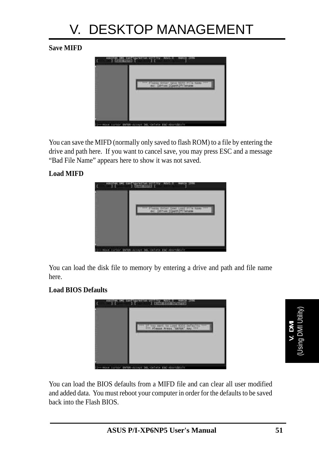# V. DESKTOP MANAGEMENT

**Save MIFD**



You can save the MIFD (normally only saved to flash ROM) to a file by entering the drive and path here. If you want to cancel save, you may press ESC and a message "Bad File Name" appears here to show it was not saved.

#### **Load MIFD**



You can load the disk file to memory by entering a drive and path and file name here.

#### **Load BIOS Defaults**



(Using DMI Utility)**V. DMI** Using DM

You can load the BIOS defaults from a MIFD file and can clear all user modified and added data. You must reboot your computer in order for the defaults to be saved back into the Flash BIOS.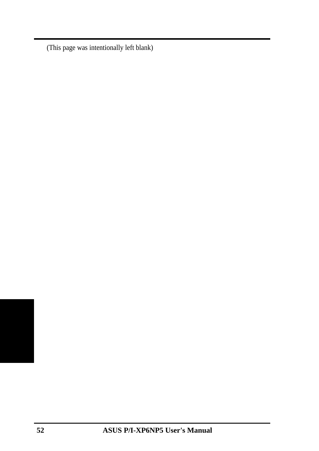(This page was intentionally left blank)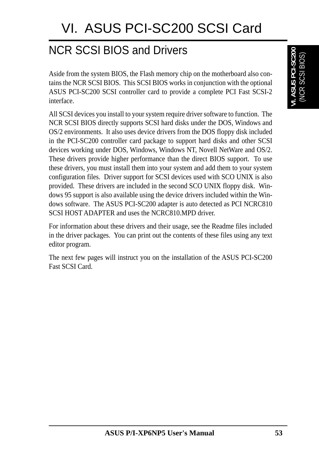# NCR SCSI BIOS and Drivers

Aside from the system BIOS, the Flash memory chip on the motherboard also contains the NCR SCSI BIOS. This SCSI BIOS works in conjunction with the optional ASUS PCI-SC200 SCSI controller card to provide a complete PCI Fast SCSI-2 interface.

All SCSI devices you install to your system require driver software to function. The NCR SCSI BIOS directly supports SCSI hard disks under the DOS, Windows and OS/2 environments. It also uses device drivers from the DOS floppy disk included in the PCI-SC200 controller card package to support hard disks and other SCSI devices working under DOS, Windows, Windows NT, Novell NetWare and OS/2. These drivers provide higher performance than the direct BIOS support. To use these drivers, you must install them into your system and add them to your system configuration files. Driver support for SCSI devices used with SCO UNIX is also provided. These drivers are included in the second SCO UNIX floppy disk. Windows 95 support is also available using the device drivers included within the Windows software. The ASUS PCI-SC200 adapter is auto detected as PCI NCRC810 SCSI HOST ADAPTER and uses the NCRC810.MPD driver.

For information about these drivers and their usage, see the Readme files included in the driver packages. You can print out the contents of these files using any text editor program.

The next few pages will instruct you on the installation of the ASUS PCI-SC200 Fast SCSI Card.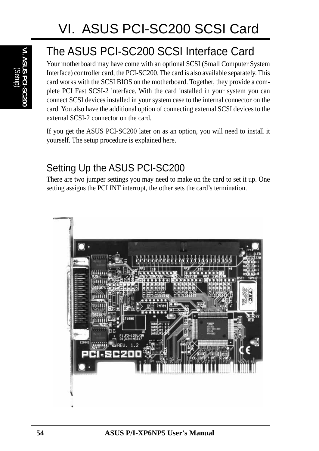# The ASUS PCI-SC200 SCSI Interface Card

Your motherboard may have come with an optional SCSI (Small Computer System Interface) controller card, the PCI-SC200. The card is also available separately. This card works with the SCSI BIOS on the motherboard. Together, they provide a complete PCI Fast SCSI-2 interface. With the card installed in your system you can connect SCSI devices installed in your system case to the internal connector on the card. You also have the additional option of connecting external SCSI devices to the external SCSI-2 connector on the card.

If you get the ASUS PCI-SC200 later on as an option, you will need to install it yourself. The setup procedure is explained here.

## Setting Up the ASUS PCI-SC200

There are two jumper settings you may need to make on the card to set it up. One setting assigns the PCI INT interrupt, the other sets the card's termination.

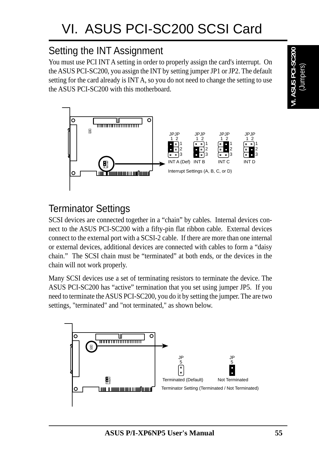## Setting the INT Assignment

You must use PCI INT A setting in order to properly assign the card's interrupt. On the ASUS PCI-SC200, you assign the INT by setting jumper JP1 or JP2. The default setting for the card already is INT A, so you do not need to change the setting to use the ASUS PCI-SC200 with this motherboard.



# Terminator Settings

SCSI devices are connected together in a "chain" by cables. Internal devices connect to the ASUS PCI-SC200 with a fifty-pin flat ribbon cable. External devices connect to the external port with a SCSI-2 cable. If there are more than one internal or external devices, additional devices are connected with cables to form a "daisy chain." The SCSI chain must be "terminated" at both ends, or the devices in the chain will not work properly.

Many SCSI devices use a set of terminating resistors to terminate the device. The ASUS PCI-SC200 has "active" termination that you set using jumper JP5. If you need to terminate the ASUS PCI-SC200, you do it by setting the jumper. The are two settings, "terminated" and "not terminated," as shown below.

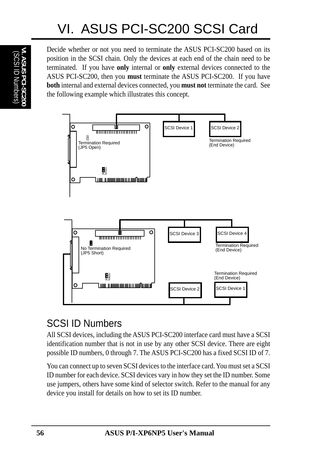# VI. ASUS PCI-SC200 SCSI Card

**VI. ASUS PCI-SC200** (SCSI ID Numbers)

Decide whether or not you need to terminate the ASUS PCI-SC200 based on its position in the SCSI chain. Only the devices at each end of the chain need to be terminated. If you have **only** internal or **only** external devices connected to the ASUS PCI-SC200, then you **must** terminate the ASUS PCI-SC200. If you have **both** internal and external devices connected, you **must not** terminate the card. See the following example which illustrates this concept.



## SCSI ID Numbers

All SCSI devices, including the ASUS PCI-SC200 interface card must have a SCSI identification number that is not in use by any other SCSI device. There are eight possible ID numbers, 0 through 7. The ASUS PCI-SC200 has a fixed SCSI ID of 7.

You can connect up to seven SCSI devices to the interface card. You must set a SCSI ID number for each device. SCSI devices vary in how they set the ID number. Some use jumpers, others have some kind of selector switch. Refer to the manual for any device you install for details on how to set its ID number.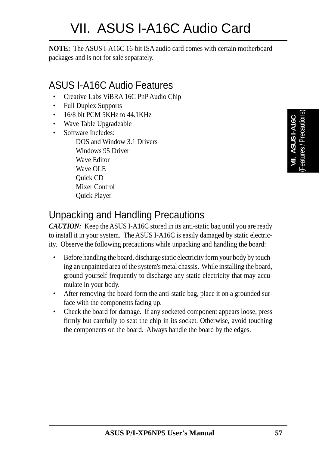# VII. ASUS I-A16C Audio Card

**NOTE:** The ASUS I-A16C 16-bit ISA audio card comes with certain motherboard packages and is not for sale separately.

### ASUS I-A16C Audio Features

- Creative Labs ViBRA 16C PnP Audio Chip
- Full Duplex Supports
- 16/8 bit PCM 5KHz to 44.1KHz
- Wave Table Upgradeable
- Software Includes:

DOS and Window 3.1 Drivers Windows 95 Driver Wave Editor Wave OLE Quick CD Mixer Control Quick Player

## Unpacking and Handling Precautions

*CAUTION*: Keep the ASUS I-A16C stored in its anti-static bag until you are ready to install it in your system. The ASUS I-A16C is easily damaged by static electricity. Observe the following precautions while unpacking and handling the board:

- Before handling the board, discharge static electricity form your body by touching an unpainted area of the system's metal chassis. While installing the board, ground yourself frequently to discharge any static electricity that may accumulate in your body.
- After removing the board form the anti-static bag, place it on a grounded surface with the components facing up.
- Check the board for damage. If any socketed component appears loose, press firmly but carefully to seat the chip in its socket. Otherwise, avoid touching the components on the board. Always handle the board by the edges.